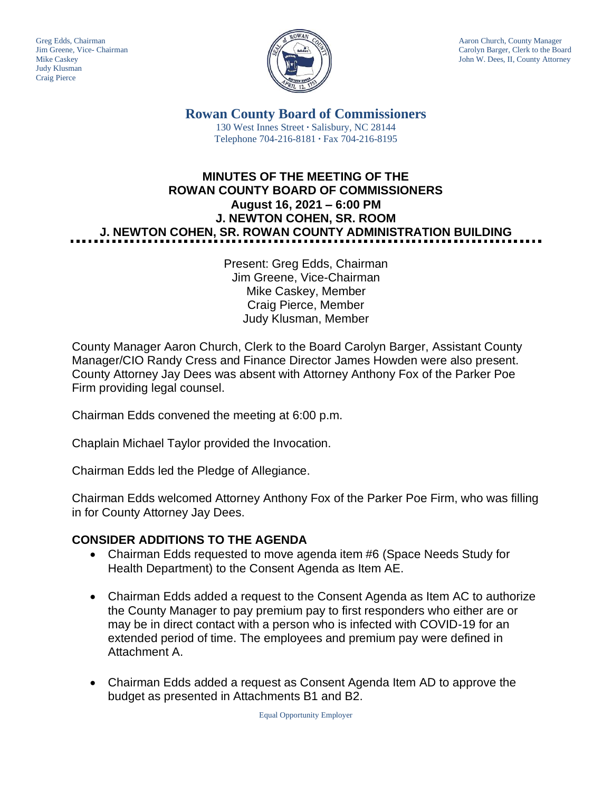Judy Klusman Craig Pierce



Greg Edds, Chairman Aaron Church, County Manager<br>Jim Greene, Vice- Chairman Aaron Church, County Manager and Aaron Church, County Manager and Aaron Church, County Manager Carolyn Barger, Clerk to the Board Mike Caskey **John W. Dees, II, County Attorney** 

> **Rowan County Board of Commissioners** 130 West Innes Street **∙** Salisbury, NC 28144 Telephone 704-216-8181 **∙** Fax 704-216-8195

# **MINUTES OF THE MEETING OF THE ROWAN COUNTY BOARD OF COMMISSIONERS August 16, 2021 – 6:00 PM J. NEWTON COHEN, SR. ROOM J. NEWTON COHEN, SR. ROWAN COUNTY ADMINISTRATION BUILDING**

Present: Greg Edds, Chairman Jim Greene, Vice-Chairman Mike Caskey, Member Craig Pierce, Member Judy Klusman, Member

County Manager Aaron Church, Clerk to the Board Carolyn Barger, Assistant County Manager/CIO Randy Cress and Finance Director James Howden were also present. County Attorney Jay Dees was absent with Attorney Anthony Fox of the Parker Poe Firm providing legal counsel.

Chairman Edds convened the meeting at 6:00 p.m.

Chaplain Michael Taylor provided the Invocation.

Chairman Edds led the Pledge of Allegiance.

Chairman Edds welcomed Attorney Anthony Fox of the Parker Poe Firm, who was filling in for County Attorney Jay Dees.

# **CONSIDER ADDITIONS TO THE AGENDA**

- Chairman Edds requested to move agenda item #6 (Space Needs Study for Health Department) to the Consent Agenda as Item AE.
- Chairman Edds added a request to the Consent Agenda as Item AC to authorize the County Manager to pay premium pay to first responders who either are or may be in direct contact with a person who is infected with COVID-19 for an extended period of time. The employees and premium pay were defined in Attachment A.
- Chairman Edds added a request as Consent Agenda Item AD to approve the budget as presented in Attachments B1 and B2.

Equal Opportunity Employer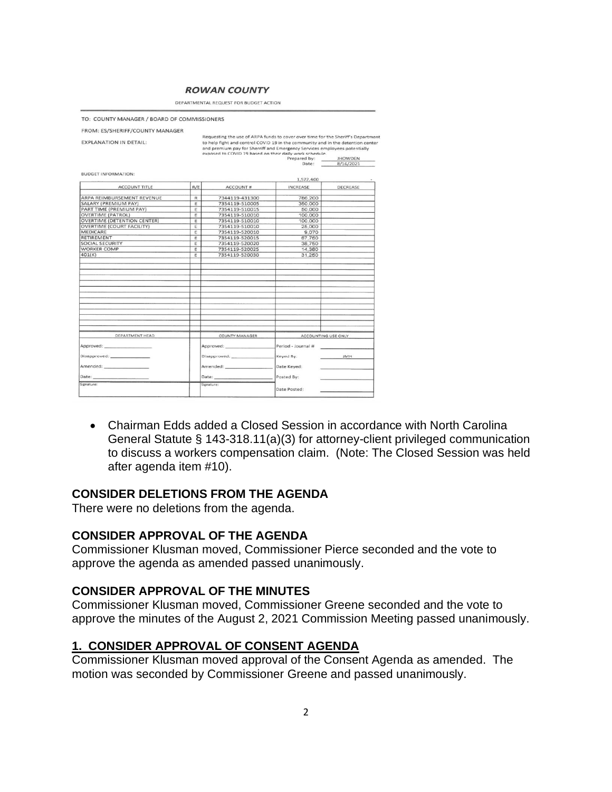#### **ROWAN COUNTY**

DEPARTMENTAL REQUEST FOR BUDGET ACTION

TO: COUNTY MANAGER / BOARD OF COMMISSIONERS

| FROM: ES/SHERIFF/COUNTY MANAGER                                                                                                                                                                                                                                                                                                                                                           |        |                                                                                                                                                                                                                                |                     |                                 |
|-------------------------------------------------------------------------------------------------------------------------------------------------------------------------------------------------------------------------------------------------------------------------------------------------------------------------------------------------------------------------------------------|--------|--------------------------------------------------------------------------------------------------------------------------------------------------------------------------------------------------------------------------------|---------------------|---------------------------------|
|                                                                                                                                                                                                                                                                                                                                                                                           |        | Requesting the use of ARPA funds to cover over time for the Sheriff's Department                                                                                                                                               |                     |                                 |
| <b>EXPLANATION IN DETAIL:</b>                                                                                                                                                                                                                                                                                                                                                             |        | to help fight and control COVID 19 in the community and in the detention center<br>and premium pay for Sherriff and Emergency Services employees potentially                                                                   |                     |                                 |
|                                                                                                                                                                                                                                                                                                                                                                                           |        | exposed to COVID 19 based on their daily work schedule.                                                                                                                                                                        |                     |                                 |
|                                                                                                                                                                                                                                                                                                                                                                                           |        |                                                                                                                                                                                                                                | Prepared by:        | JHOWDEN                         |
|                                                                                                                                                                                                                                                                                                                                                                                           |        |                                                                                                                                                                                                                                | Date:               | 8/16/2021                       |
| <b>BUDGET INFORMATION:</b>                                                                                                                                                                                                                                                                                                                                                                |        |                                                                                                                                                                                                                                |                     |                                 |
|                                                                                                                                                                                                                                                                                                                                                                                           |        |                                                                                                                                                                                                                                | 1,572,400           |                                 |
| <b>ACCOUNT TITLE</b>                                                                                                                                                                                                                                                                                                                                                                      | R/E    | <b>ACCOUNT#</b>                                                                                                                                                                                                                | <b>INCREASE</b>     | DECREASE                        |
| ARPA REIMBURSEMENT REVENUE                                                                                                                                                                                                                                                                                                                                                                | R      | 7344119-431300                                                                                                                                                                                                                 | 786.200             |                                 |
| <b>SALARY (PREMIUM PAY)</b>                                                                                                                                                                                                                                                                                                                                                               | E      | 7354119-510005                                                                                                                                                                                                                 | 350,000             |                                 |
| PART TIME (PREMIUM PAY)                                                                                                                                                                                                                                                                                                                                                                   | F      | 7354119-510015                                                                                                                                                                                                                 | 50,000              |                                 |
| <b>OVERTIME (PATROL)</b>                                                                                                                                                                                                                                                                                                                                                                  | E      | 7354119-510010                                                                                                                                                                                                                 | 100,000             |                                 |
| <b>OVERTIME (DETENTION CENTER)</b>                                                                                                                                                                                                                                                                                                                                                        | E      | 7354119-510010                                                                                                                                                                                                                 |                     |                                 |
| <b>OVERTIME (COURT FACILITY)</b>                                                                                                                                                                                                                                                                                                                                                          |        |                                                                                                                                                                                                                                | 100,000             |                                 |
| MEDICARE                                                                                                                                                                                                                                                                                                                                                                                  | Ε<br>E | 7354119-510010<br>7354119-520010                                                                                                                                                                                               | 25.000<br>9.070     |                                 |
| RETIREMENT                                                                                                                                                                                                                                                                                                                                                                                | E      | 7354119-520015                                                                                                                                                                                                                 | 67,750              |                                 |
| <b>SOCIAL SECURITY</b>                                                                                                                                                                                                                                                                                                                                                                    | E      |                                                                                                                                                                                                                                |                     |                                 |
| <b>WORKER COMP</b>                                                                                                                                                                                                                                                                                                                                                                        | E      | 7354119-520020                                                                                                                                                                                                                 | 38,750              |                                 |
|                                                                                                                                                                                                                                                                                                                                                                                           |        | 7354119-520025                                                                                                                                                                                                                 | 14,380              |                                 |
| 401(K)                                                                                                                                                                                                                                                                                                                                                                                    | E      | 7354119-520030                                                                                                                                                                                                                 | 31,250              |                                 |
|                                                                                                                                                                                                                                                                                                                                                                                           |        |                                                                                                                                                                                                                                |                     |                                 |
|                                                                                                                                                                                                                                                                                                                                                                                           |        |                                                                                                                                                                                                                                |                     |                                 |
|                                                                                                                                                                                                                                                                                                                                                                                           |        |                                                                                                                                                                                                                                |                     |                                 |
|                                                                                                                                                                                                                                                                                                                                                                                           |        |                                                                                                                                                                                                                                |                     |                                 |
|                                                                                                                                                                                                                                                                                                                                                                                           |        |                                                                                                                                                                                                                                |                     |                                 |
|                                                                                                                                                                                                                                                                                                                                                                                           |        |                                                                                                                                                                                                                                |                     |                                 |
|                                                                                                                                                                                                                                                                                                                                                                                           |        |                                                                                                                                                                                                                                |                     |                                 |
|                                                                                                                                                                                                                                                                                                                                                                                           |        |                                                                                                                                                                                                                                |                     |                                 |
|                                                                                                                                                                                                                                                                                                                                                                                           |        |                                                                                                                                                                                                                                |                     |                                 |
|                                                                                                                                                                                                                                                                                                                                                                                           |        |                                                                                                                                                                                                                                |                     |                                 |
|                                                                                                                                                                                                                                                                                                                                                                                           |        |                                                                                                                                                                                                                                |                     |                                 |
|                                                                                                                                                                                                                                                                                                                                                                                           |        |                                                                                                                                                                                                                                |                     |                                 |
|                                                                                                                                                                                                                                                                                                                                                                                           |        |                                                                                                                                                                                                                                |                     |                                 |
| DEPARTMENT HEAD                                                                                                                                                                                                                                                                                                                                                                           |        | <b>COUNTY MANAGER</b>                                                                                                                                                                                                          | ACCOUNTING USE ONLY |                                 |
|                                                                                                                                                                                                                                                                                                                                                                                           |        |                                                                                                                                                                                                                                |                     |                                 |
|                                                                                                                                                                                                                                                                                                                                                                                           |        |                                                                                                                                                                                                                                | Period - Journal #  |                                 |
| Disapproved: __________________                                                                                                                                                                                                                                                                                                                                                           |        | Disapproved: http://www.com/                                                                                                                                                                                                   | Keyed By:           | <b>JMH</b><br><b>COMMERCIAL</b> |
| Amended: American American Street                                                                                                                                                                                                                                                                                                                                                         |        | Amended: William Street Street Street Street Street Street Street Street Street Street Street Street Street Street Street Street Street Street Street Street Street Street Street Street Street Street Street Street Street St | Date Keyed:         |                                 |
|                                                                                                                                                                                                                                                                                                                                                                                           |        |                                                                                                                                                                                                                                |                     |                                 |
| ${\small \textsf{Date}}: \underline{\hspace{1.5cm}} \begin{picture}(10,10) \put(0,0){\dashbox{0.5}(10,0){ }} \put(15,0){\dashbox{0.5}(10,0){ }} \put(15,0){\dashbox{0.5}(10,0){ }} \put(15,0){\dashbox{0.5}(10,0){ }} \put(15,0){\dashbox{0.5}(10,0){ }} \put(15,0){\dashbox{0.5}(10,0){ }} \put(15,0){\dashbox{0.5}(10,0){ }} \put(15,0){\dashbox{0.5}(10,0){ }} \put(15,0){\dashbox{0.$ |        |                                                                                                                                                                                                                                | Posted By:          |                                 |
| Signature:                                                                                                                                                                                                                                                                                                                                                                                |        | Signature:                                                                                                                                                                                                                     | Date Posted:        |                                 |
|                                                                                                                                                                                                                                                                                                                                                                                           |        |                                                                                                                                                                                                                                |                     |                                 |
|                                                                                                                                                                                                                                                                                                                                                                                           |        |                                                                                                                                                                                                                                |                     |                                 |

• Chairman Edds added a Closed Session in accordance with North Carolina General Statute § 143-318.11(a)(3) for attorney-client privileged communication to discuss a workers compensation claim. (Note: The Closed Session was held after agenda item #10).

#### **CONSIDER DELETIONS FROM THE AGENDA**

There were no deletions from the agenda.

#### **CONSIDER APPROVAL OF THE AGENDA**

Commissioner Klusman moved, Commissioner Pierce seconded and the vote to approve the agenda as amended passed unanimously.

#### **CONSIDER APPROVAL OF THE MINUTES**

Commissioner Klusman moved, Commissioner Greene seconded and the vote to approve the minutes of the August 2, 2021 Commission Meeting passed unanimously.

#### **1. CONSIDER APPROVAL OF CONSENT AGENDA**

Commissioner Klusman moved approval of the Consent Agenda as amended. The motion was seconded by Commissioner Greene and passed unanimously.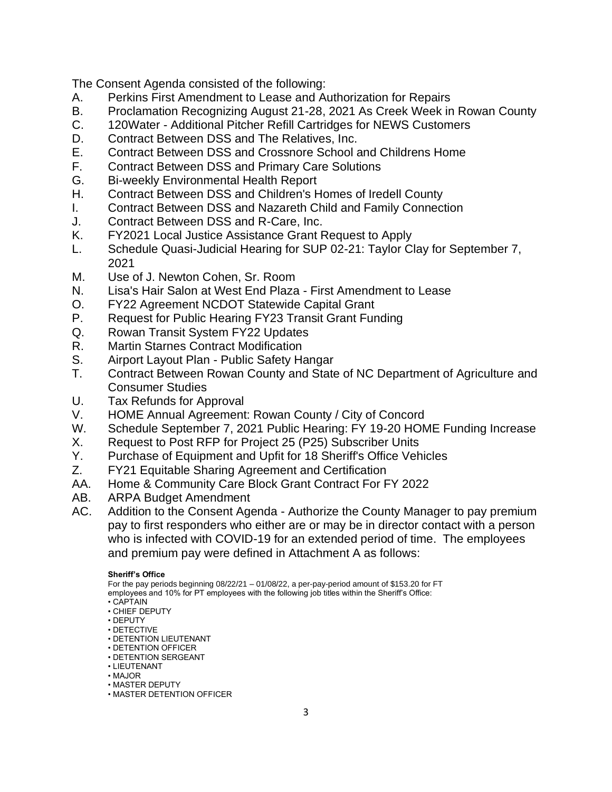The Consent Agenda consisted of the following:

- A. Perkins First Amendment to Lease and Authorization for Repairs
- B. Proclamation Recognizing August 21-28, 2021 As Creek Week in Rowan County
- C. 120Water Additional Pitcher Refill Cartridges for NEWS Customers
- D. Contract Between DSS and The Relatives, Inc.
- E. Contract Between DSS and Crossnore School and Childrens Home
- F. Contract Between DSS and Primary Care Solutions
- G. Bi-weekly Environmental Health Report
- H. Contract Between DSS and Children's Homes of Iredell County
- I. Contract Between DSS and Nazareth Child and Family Connection
- J. Contract Between DSS and R-Care, Inc.
- K. FY2021 Local Justice Assistance Grant Request to Apply
- L. Schedule Quasi-Judicial Hearing for SUP 02-21: Taylor Clay for September 7, 2021
- M. Use of J. Newton Cohen, Sr. Room
- N. Lisa's Hair Salon at West End Plaza First Amendment to Lease
- O. FY22 Agreement NCDOT Statewide Capital Grant
- P. Request for Public Hearing FY23 Transit Grant Funding
- Q. Rowan Transit System FY22 Updates
- R. Martin Starnes Contract Modification
- S. Airport Layout Plan Public Safety Hangar
- T. Contract Between Rowan County and State of NC Department of Agriculture and Consumer Studies
- U. Tax Refunds for Approval
- V. HOME Annual Agreement: Rowan County / City of Concord
- W. Schedule September 7, 2021 Public Hearing: FY 19-20 HOME Funding Increase
- X. Request to Post RFP for Project 25 (P25) Subscriber Units
- Y. Purchase of Equipment and Upfit for 18 Sheriff's Office Vehicles
- Z. FY21 Equitable Sharing Agreement and Certification
- AA. Home & Community Care Block Grant Contract For FY 2022
- AB. ARPA Budget Amendment
- AC. Addition to the Consent Agenda Authorize the County Manager to pay premium pay to first responders who either are or may be in director contact with a person who is infected with COVID-19 for an extended period of time. The employees and premium pay were defined in Attachment A as follows:

#### **Sheriff's Office**

For the pay periods beginning 08/22/21 – 01/08/22, a per-pay-period amount of \$153.20 for FT employees and 10% for PT employees with the following job titles within the Sheriff's Office:

- CAPTAIN
- CHIEF DEPUTY
- DEPUTY
- DETECTIVE • DETENTION LIEUTENANT
- DETENTION OFFICER
- DETENTION SERGEANT
- LIEUTENANT
- MAJOR
- MASTER DEPUTY
- MASTER DETENTION OFFICER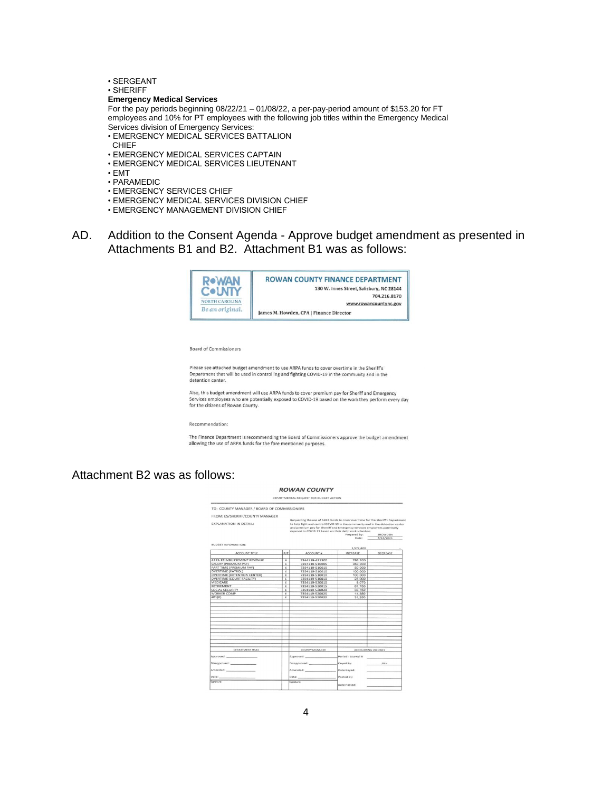- SERGEANT
- SHERIFF

#### **Emergency Medical Services**

For the pay periods beginning 08/22/21 – 01/08/22, a per-pay-period amount of \$153.20 for FT employees and 10% for PT employees with the following job titles within the Emergency Medical Services division of Emergency Services:

- EMERGENCY MEDICAL SERVICES BATTALION
- CHIEF
- EMERGENCY MEDICAL SERVICES CAPTAIN
- EMERGENCY MEDICAL SERVICES LIEUTENANT
- EMT
- PARAMEDIC
- EMERGENCY SERVICES CHIEF
- EMERGENCY MEDICAL SERVICES DIVISION CHIEF
- EMERGENCY MANAGEMENT DIVISION CHIEF
- AD. Addition to the Consent Agenda Approve budget amendment as presented in Attachments B1 and B2. Attachment B1 was as follows:



#### **Board of Commissioners**

Please see attached budget amendment to use ARPA funds to cover overtime in the Sheriff's Department that will be used in controlling and fighting COVID-19 in the community and in the detention center

Also, this budget amendment will use ARPA funds to cover premium pay for Sheriff and Emergency<br>Services employees who are potentially exposed to COVID-19 based on the work they perform every day for the citizens of Rowan County.

#### Recommendation:

The Finance Department is recommending the Board of Commissioners approve the budget amendment allowing the use of ARPA funds for the fore mentioned purposes.

#### Attachment B2 was as follows:

#### **ROWAN COUNTY**

| FROM: ES/SHERIFF/COUNTY MANAGER<br>Requesting the use of ARPA funds to cover over time for the Sheriff's Department<br>to help fight and control COVID 19 in the community and in the detention center<br>and premium pay for Sherriff and Emergency Services employees potentially<br>exposed to COVID 19 based on their daily work schedule.<br>Prepared by: JHOWDEN |           |  |
|------------------------------------------------------------------------------------------------------------------------------------------------------------------------------------------------------------------------------------------------------------------------------------------------------------------------------------------------------------------------|-----------|--|
| Date:                                                                                                                                                                                                                                                                                                                                                                  | 8/16/2021 |  |
| 1,572,400                                                                                                                                                                                                                                                                                                                                                              |           |  |
| INCREASE                                                                                                                                                                                                                                                                                                                                                               | DECREASE  |  |
|                                                                                                                                                                                                                                                                                                                                                                        |           |  |
| 786,200<br>350,000                                                                                                                                                                                                                                                                                                                                                     |           |  |
|                                                                                                                                                                                                                                                                                                                                                                        |           |  |
| 50.000<br>100,000                                                                                                                                                                                                                                                                                                                                                      |           |  |
| 100.000                                                                                                                                                                                                                                                                                                                                                                |           |  |
| 25,000                                                                                                                                                                                                                                                                                                                                                                 |           |  |
| 9,070                                                                                                                                                                                                                                                                                                                                                                  |           |  |
| 67,750                                                                                                                                                                                                                                                                                                                                                                 |           |  |
| 38.750                                                                                                                                                                                                                                                                                                                                                                 |           |  |
| 14.380                                                                                                                                                                                                                                                                                                                                                                 |           |  |
| 31.250                                                                                                                                                                                                                                                                                                                                                                 |           |  |
|                                                                                                                                                                                                                                                                                                                                                                        |           |  |
|                                                                                                                                                                                                                                                                                                                                                                        |           |  |
|                                                                                                                                                                                                                                                                                                                                                                        |           |  |
|                                                                                                                                                                                                                                                                                                                                                                        |           |  |
|                                                                                                                                                                                                                                                                                                                                                                        |           |  |
|                                                                                                                                                                                                                                                                                                                                                                        |           |  |
|                                                                                                                                                                                                                                                                                                                                                                        |           |  |
|                                                                                                                                                                                                                                                                                                                                                                        |           |  |
|                                                                                                                                                                                                                                                                                                                                                                        |           |  |
|                                                                                                                                                                                                                                                                                                                                                                        |           |  |
|                                                                                                                                                                                                                                                                                                                                                                        |           |  |
|                                                                                                                                                                                                                                                                                                                                                                        |           |  |
|                                                                                                                                                                                                                                                                                                                                                                        |           |  |
| ACCOUNTING USE ONLY                                                                                                                                                                                                                                                                                                                                                    |           |  |
| Period - Journal #                                                                                                                                                                                                                                                                                                                                                     |           |  |
| Keyed By:                                                                                                                                                                                                                                                                                                                                                              | JMH       |  |
| Date Keyed:                                                                                                                                                                                                                                                                                                                                                            |           |  |
| Posted By:                                                                                                                                                                                                                                                                                                                                                             |           |  |
|                                                                                                                                                                                                                                                                                                                                                                        |           |  |
| Date Posted:                                                                                                                                                                                                                                                                                                                                                           |           |  |
|                                                                                                                                                                                                                                                                                                                                                                        |           |  |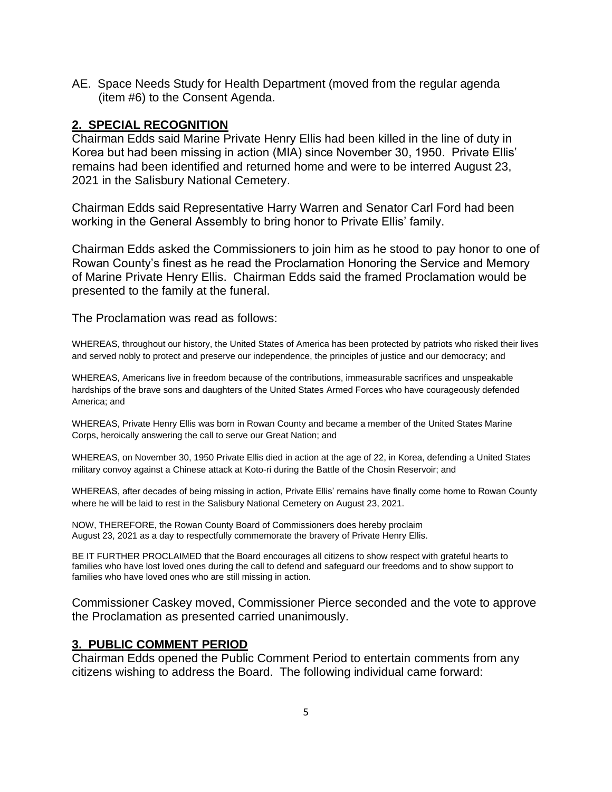AE. Space Needs Study for Health Department (moved from the regular agenda (item #6) to the Consent Agenda.

#### **2. SPECIAL RECOGNITION**

Chairman Edds said Marine Private Henry Ellis had been killed in the line of duty in Korea but had been missing in action (MIA) since November 30, 1950. Private Ellis' remains had been identified and returned home and were to be interred August 23, 2021 in the Salisbury National Cemetery.

Chairman Edds said Representative Harry Warren and Senator Carl Ford had been working in the General Assembly to bring honor to Private Ellis' family.

Chairman Edds asked the Commissioners to join him as he stood to pay honor to one of Rowan County's finest as he read the Proclamation Honoring the Service and Memory of Marine Private Henry Ellis. Chairman Edds said the framed Proclamation would be presented to the family at the funeral.

The Proclamation was read as follows:

WHEREAS, throughout our history, the United States of America has been protected by patriots who risked their lives and served nobly to protect and preserve our independence, the principles of justice and our democracy; and

WHEREAS, Americans live in freedom because of the contributions, immeasurable sacrifices and unspeakable hardships of the brave sons and daughters of the United States Armed Forces who have courageously defended America; and

WHEREAS, Private Henry Ellis was born in Rowan County and became a member of the United States Marine Corps, heroically answering the call to serve our Great Nation; and

WHEREAS, on November 30, 1950 Private Ellis died in action at the age of 22, in Korea, defending a United States military convoy against a Chinese attack at Koto-ri during the Battle of the Chosin Reservoir; and

WHEREAS, after decades of being missing in action, Private Ellis' remains have finally come home to Rowan County where he will be laid to rest in the Salisbury National Cemetery on August 23, 2021.

NOW, THEREFORE, the Rowan County Board of Commissioners does hereby proclaim August 23, 2021 as a day to respectfully commemorate the bravery of Private Henry Ellis.

BE IT FURTHER PROCLAIMED that the Board encourages all citizens to show respect with grateful hearts to families who have lost loved ones during the call to defend and safeguard our freedoms and to show support to families who have loved ones who are still missing in action.

Commissioner Caskey moved, Commissioner Pierce seconded and the vote to approve the Proclamation as presented carried unanimously.

#### **3. PUBLIC COMMENT PERIOD**

Chairman Edds opened the Public Comment Period to entertain comments from any citizens wishing to address the Board. The following individual came forward: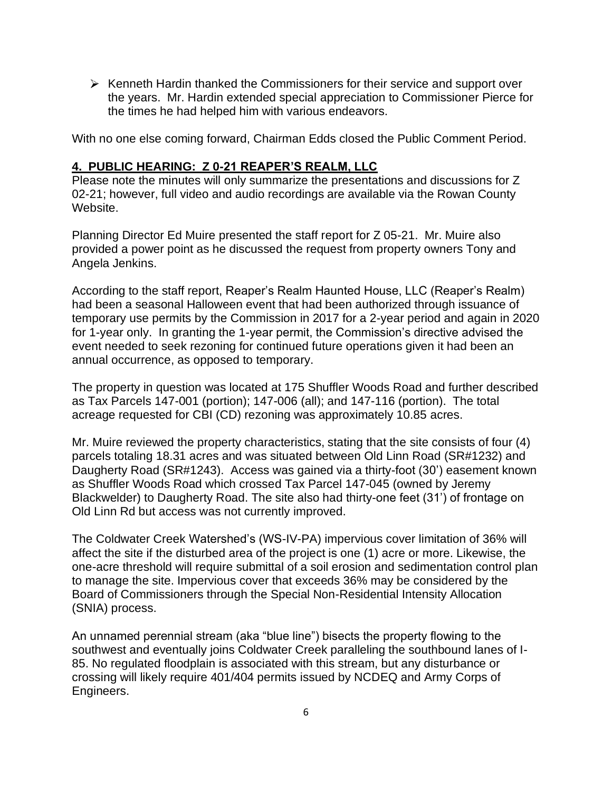$\triangleright$  Kenneth Hardin thanked the Commissioners for their service and support over the years. Mr. Hardin extended special appreciation to Commissioner Pierce for the times he had helped him with various endeavors.

With no one else coming forward, Chairman Edds closed the Public Comment Period.

#### **4. PUBLIC HEARING: Z 0-21 REAPER'S REALM, LLC**

Please note the minutes will only summarize the presentations and discussions for Z 02-21; however, full video and audio recordings are available via the Rowan County Website.

Planning Director Ed Muire presented the staff report for Z 05-21. Mr. Muire also provided a power point as he discussed the request from property owners Tony and Angela Jenkins.

According to the staff report, Reaper's Realm Haunted House, LLC (Reaper's Realm) had been a seasonal Halloween event that had been authorized through issuance of temporary use permits by the Commission in 2017 for a 2-year period and again in 2020 for 1-year only. In granting the 1-year permit, the Commission's directive advised the event needed to seek rezoning for continued future operations given it had been an annual occurrence, as opposed to temporary.

The property in question was located at 175 Shuffler Woods Road and further described as Tax Parcels 147-001 (portion); 147-006 (all); and 147-116 (portion). The total acreage requested for CBI (CD) rezoning was approximately 10.85 acres.

Mr. Muire reviewed the property characteristics, stating that the site consists of four (4) parcels totaling 18.31 acres and was situated between Old Linn Road (SR#1232) and Daugherty Road (SR#1243). Access was gained via a thirty-foot (30') easement known as Shuffler Woods Road which crossed Tax Parcel 147-045 (owned by Jeremy Blackwelder) to Daugherty Road. The site also had thirty-one feet (31') of frontage on Old Linn Rd but access was not currently improved.

The Coldwater Creek Watershed's (WS-IV-PA) impervious cover limitation of 36% will affect the site if the disturbed area of the project is one (1) acre or more. Likewise, the one-acre threshold will require submittal of a soil erosion and sedimentation control plan to manage the site. Impervious cover that exceeds 36% may be considered by the Board of Commissioners through the Special Non-Residential Intensity Allocation (SNIA) process.

An unnamed perennial stream (aka "blue line") bisects the property flowing to the southwest and eventually joins Coldwater Creek paralleling the southbound lanes of I-85. No regulated floodplain is associated with this stream, but any disturbance or crossing will likely require 401/404 permits issued by NCDEQ and Army Corps of Engineers.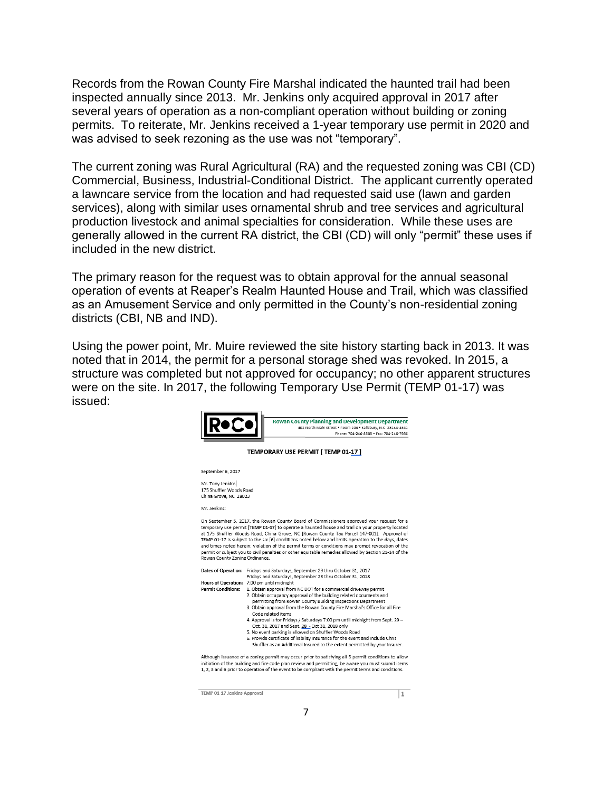Records from the Rowan County Fire Marshal indicated the haunted trail had been inspected annually since 2013. Mr. Jenkins only acquired approval in 2017 after several years of operation as a non-compliant operation without building or zoning permits. To reiterate, Mr. Jenkins received a 1-year temporary use permit in 2020 and was advised to seek rezoning as the use was not "temporary".

The current zoning was Rural Agricultural (RA) and the requested zoning was CBI (CD) Commercial, Business, Industrial-Conditional District. The applicant currently operated a lawncare service from the location and had requested said use (lawn and garden services), along with similar uses ornamental shrub and tree services and agricultural production livestock and animal specialties for consideration. While these uses are generally allowed in the current RA district, the CBI (CD) will only "permit" these uses if included in the new district.

The primary reason for the request was to obtain approval for the annual seasonal operation of events at Reaper's Realm Haunted House and Trail, which was classified as an Amusement Service and only permitted in the County's non-residential zoning districts (CBI, NB and IND).

Using the power point, Mr. Muire reviewed the site history starting back in 2013. It was noted that in 2014, the permit for a personal storage shed was revoked. In 2015, a structure was completed but not approved for occupancy; no other apparent structures were on the site. In 2017, the following Temporary Use Permit (TEMP 01-17) was issued:

|                                                                      | <b>Rowan County Planning and Development Department</b><br>402 North Main Street . Room 204 . Salisbury, N.C. 28144-4341<br>Phone: 704-216-8588 . Fax: 704-216-7986                                                                                                                                                                                                                                                                                                                                                                                                                                                                                                                                                 |  |  |
|----------------------------------------------------------------------|---------------------------------------------------------------------------------------------------------------------------------------------------------------------------------------------------------------------------------------------------------------------------------------------------------------------------------------------------------------------------------------------------------------------------------------------------------------------------------------------------------------------------------------------------------------------------------------------------------------------------------------------------------------------------------------------------------------------|--|--|
| <b>TEMPORARY USE PERMIT [ TEMP 01-17 ]</b>                           |                                                                                                                                                                                                                                                                                                                                                                                                                                                                                                                                                                                                                                                                                                                     |  |  |
| September 6, 2017                                                    |                                                                                                                                                                                                                                                                                                                                                                                                                                                                                                                                                                                                                                                                                                                     |  |  |
| Mr. Tony Jenkins<br>175 Shuffler Woods Road<br>China Grove, NC 28023 |                                                                                                                                                                                                                                                                                                                                                                                                                                                                                                                                                                                                                                                                                                                     |  |  |
| Mr. Jenkins:                                                         |                                                                                                                                                                                                                                                                                                                                                                                                                                                                                                                                                                                                                                                                                                                     |  |  |
| Rowan County Zoning Ordinance.                                       | On September 5, 2017, the Rowan County Board of Commissioners approved your request for a<br>temporary use permit [TEMP 01-17] to operate a haunted house and trail on your property located<br>at 175 Shuffler Woods Road, China Grove, NC [Rowan County Tax Parcel 147-001]. Approval of<br>TEMP 01-17 is subject to the six [6] conditions noted below and limits operation to the days, dates<br>and times noted herein; violation of the permit terms or conditions may prompt revocation of the<br>permit or subject you to civil penalties or other equitable remedies allowed by Section 21-14 of the                                                                                                       |  |  |
|                                                                      | Dates of Operation: Fridays and Saturdays, September 29 thru October 31, 2017<br>Fridays and Saturdays, September 28 thru October 31, 2018                                                                                                                                                                                                                                                                                                                                                                                                                                                                                                                                                                          |  |  |
| <b>Permit Conditions:</b>                                            | Hours of Operation: 7:00 pm until midnight<br>1. Obtain approval from NC DOT for a commercial driveway permit<br>2. Obtain occupancy approval of the building related documents and<br>permitting from Rowan County Building Inspections Department<br>3. Obtain approval from the Rowan County Fire Marshal's Office for all Fire<br>Code related items<br>4. Approval is for Fridays / Saturdays 7:00 pm until midnight from Sept. 29 -<br>Oct. 31, 2017 and Sept. 28 - Oct 31, 2018 only<br>5. No event parking is allowed on Shuffler Woods Road<br>6. Provide certificate of liability insurance for the event and include Chris<br>Shuffler as an Additional Insured to the extent permitted by your insurer. |  |  |
|                                                                      | Although issuance of a zoning permit may occur prior to satisfying all 6 permit conditions to allow<br>initiation of the building and fire code plan review and permitting, be aware you must submit items<br>1, 2, 3 and 6 prior to operation of the event to be compliant with the permit terms and conditions.                                                                                                                                                                                                                                                                                                                                                                                                   |  |  |

TEMP 01-17 Jenkins Approval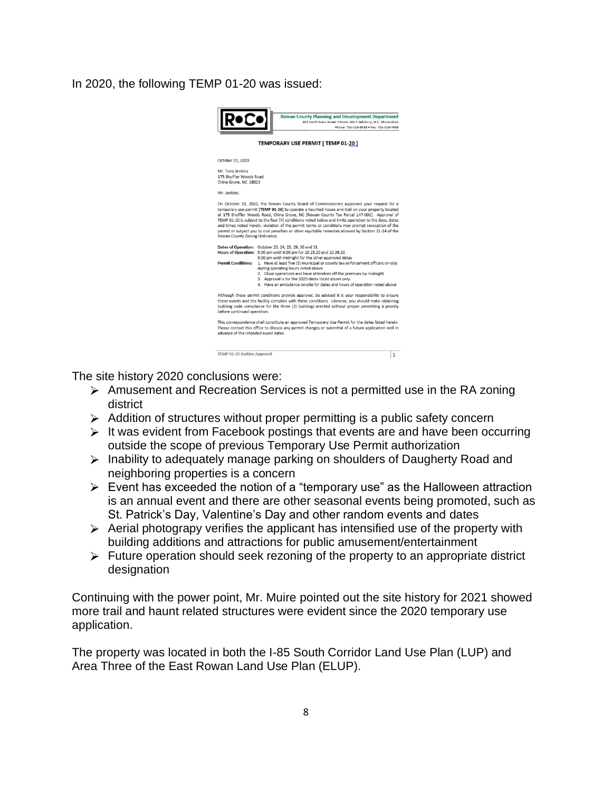#### In 2020, the following TEMP 01-20 was issued:



The site history 2020 conclusions were:

- $\triangleright$  Amusement and Recreation Services is not a permitted use in the RA zoning district
- $\triangleright$  Addition of structures without proper permitting is a public safety concern
- $\triangleright$  It was evident from Facebook postings that events are and have been occurring outside the scope of previous Temporary Use Permit authorization
- $\triangleright$  Inability to adequately manage parking on shoulders of Daugherty Road and neighboring properties is a concern
- $\triangleright$  Event has exceeded the notion of a "temporary use" as the Halloween attraction is an annual event and there are other seasonal events being promoted, such as St. Patrick's Day, Valentine's Day and other random events and dates
- $\triangleright$  Aerial photograpy verifies the applicant has intensified use of the property with building additions and attractions for public amusement/entertainment
- $\triangleright$  Future operation should seek rezoning of the property to an appropriate district designation

Continuing with the power point, Mr. Muire pointed out the site history for 2021 showed more trail and haunt related structures were evident since the 2020 temporary use application.

The property was located in both the I-85 South Corridor Land Use Plan (LUP) and Area Three of the East Rowan Land Use Plan (ELUP).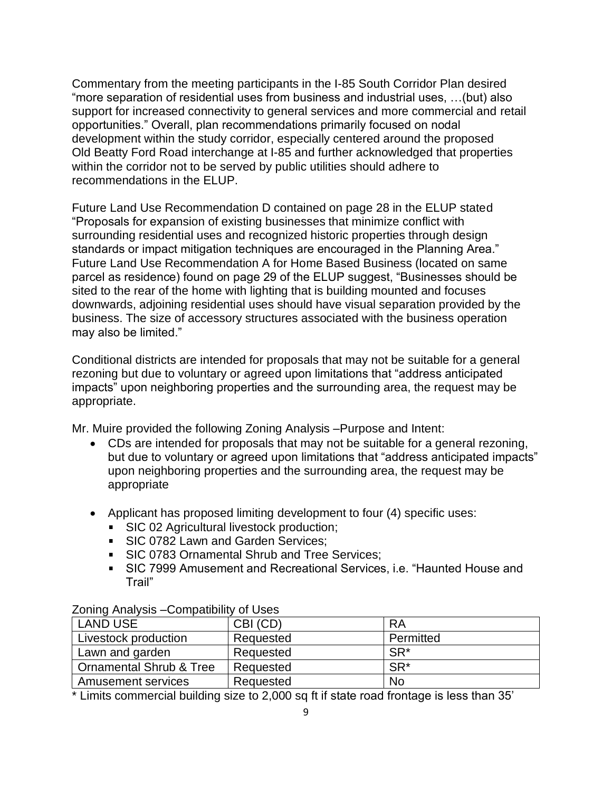Commentary from the meeting participants in the I-85 South Corridor Plan desired "more separation of residential uses from business and industrial uses, …(but) also support for increased connectivity to general services and more commercial and retail opportunities." Overall, plan recommendations primarily focused on nodal development within the study corridor, especially centered around the proposed Old Beatty Ford Road interchange at I-85 and further acknowledged that properties within the corridor not to be served by public utilities should adhere to recommendations in the ELUP.

Future Land Use Recommendation D contained on page 28 in the ELUP stated "Proposals for expansion of existing businesses that minimize conflict with surrounding residential uses and recognized historic properties through design standards or impact mitigation techniques are encouraged in the Planning Area." Future Land Use Recommendation A for Home Based Business (located on same parcel as residence) found on page 29 of the ELUP suggest, "Businesses should be sited to the rear of the home with lighting that is building mounted and focuses downwards, adjoining residential uses should have visual separation provided by the business. The size of accessory structures associated with the business operation may also be limited."

Conditional districts are intended for proposals that may not be suitable for a general rezoning but due to voluntary or agreed upon limitations that "address anticipated impacts" upon neighboring properties and the surrounding area, the request may be appropriate.

Mr. Muire provided the following Zoning Analysis –Purpose and Intent:

- CDs are intended for proposals that may not be suitable for a general rezoning, but due to voluntary or agreed upon limitations that "address anticipated impacts" upon neighboring properties and the surrounding area, the request may be appropriate
- Applicant has proposed limiting development to four (4) specific uses:
	- **SIC 02 Agricultural livestock production;**
	- SIC 0782 Lawn and Garden Services:
	- **SIC 0783 Ornamental Shrub and Tree Services;**
	- SIC 7999 Amusement and Recreational Services, i.e. "Haunted House and Trail"

| <b>LAND USE</b>         | CBI (CD)  | RA              |
|-------------------------|-----------|-----------------|
| Livestock production    | Requested | Permitted       |
| Lawn and garden         | Requested | SR <sup>*</sup> |
| Ornamental Shrub & Tree | Requested | SR <sup>*</sup> |
| Amusement services      | Requested | <b>No</b>       |

Zoning Analysis –Compatibility of Uses

\* Limits commercial building size to 2,000 sq ft if state road frontage is less than 35'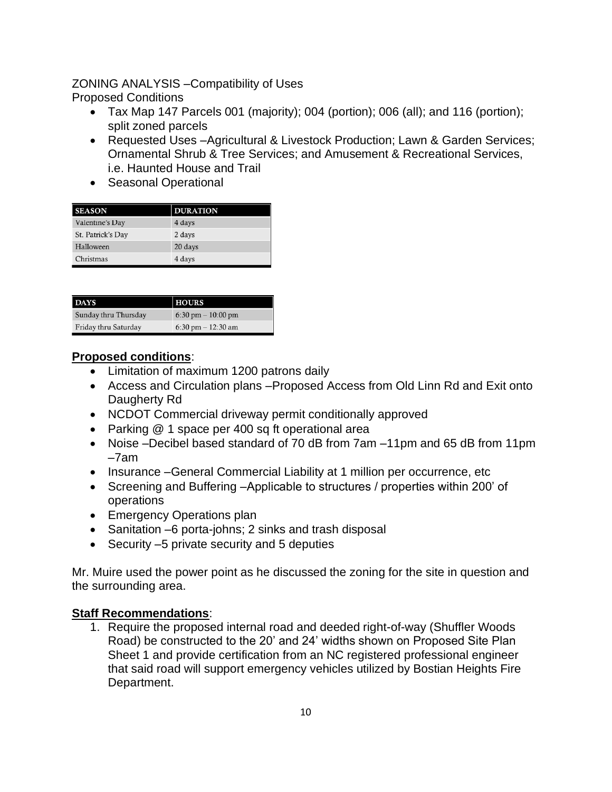# ZONING ANALYSIS –Compatibility of Uses

Proposed Conditions

- Tax Map 147 Parcels 001 (majority); 004 (portion); 006 (all); and 116 (portion); split zoned parcels
- Requested Uses –Agricultural & Livestock Production; Lawn & Garden Services; Ornamental Shrub & Tree Services; and Amusement & Recreational Services, i.e. Haunted House and Trail
- Seasonal Operational

| <b>SEASON</b>     | <b>DURATION</b> |
|-------------------|-----------------|
| Valentine's Day   | 4 days          |
| St. Patrick's Day | 2 days          |
| Halloween         | 20 days         |
| Christmas         | 4 days          |

| <b>DAYS</b>          | <b>HOURS</b>        |
|----------------------|---------------------|
| Sunday thru Thursday | 6:30 pm $-10:00$ pm |
| Friday thru Saturday | 6:30 pm $-12:30$ am |

# **Proposed conditions**:

- Limitation of maximum 1200 patrons daily
- Access and Circulation plans –Proposed Access from Old Linn Rd and Exit onto Daugherty Rd
- NCDOT Commercial driveway permit conditionally approved
- Parking @ 1 space per 400 sq ft operational area
- Noise –Decibel based standard of 70 dB from 7am –11pm and 65 dB from 11pm –7am
- Insurance –General Commercial Liability at 1 million per occurrence, etc
- Screening and Buffering –Applicable to structures / properties within 200' of operations
- Emergency Operations plan
- Sanitation –6 porta-johns; 2 sinks and trash disposal
- Security –5 private security and 5 deputies

Mr. Muire used the power point as he discussed the zoning for the site in question and the surrounding area.

#### **Staff Recommendations**:

1. Require the proposed internal road and deeded right-of-way (Shuffler Woods Road) be constructed to the 20' and 24' widths shown on Proposed Site Plan Sheet 1 and provide certification from an NC registered professional engineer that said road will support emergency vehicles utilized by Bostian Heights Fire Department.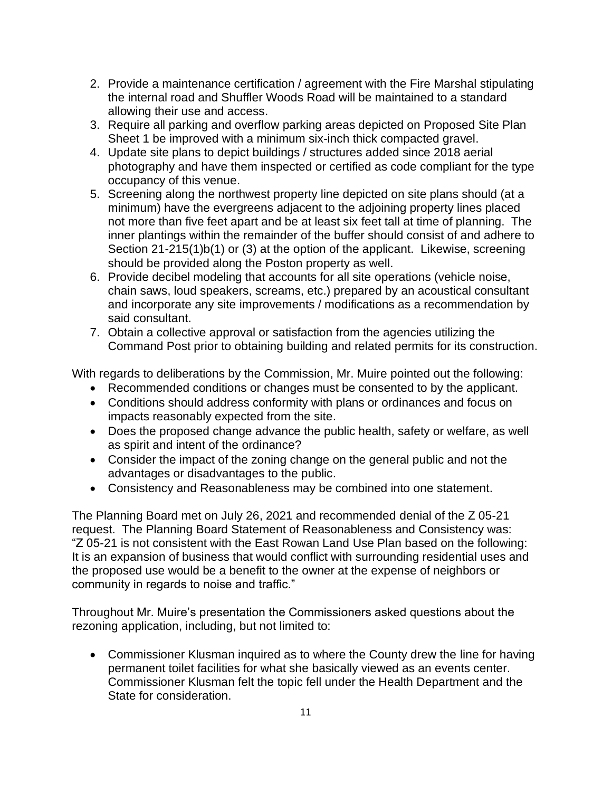- 2. Provide a maintenance certification / agreement with the Fire Marshal stipulating the internal road and Shuffler Woods Road will be maintained to a standard allowing their use and access.
- 3. Require all parking and overflow parking areas depicted on Proposed Site Plan Sheet 1 be improved with a minimum six-inch thick compacted gravel.
- 4. Update site plans to depict buildings / structures added since 2018 aerial photography and have them inspected or certified as code compliant for the type occupancy of this venue.
- 5. Screening along the northwest property line depicted on site plans should (at a minimum) have the evergreens adjacent to the adjoining property lines placed not more than five feet apart and be at least six feet tall at time of planning. The inner plantings within the remainder of the buffer should consist of and adhere to Section 21-215(1)b(1) or (3) at the option of the applicant. Likewise, screening should be provided along the Poston property as well.
- 6. Provide decibel modeling that accounts for all site operations (vehicle noise, chain saws, loud speakers, screams, etc.) prepared by an acoustical consultant and incorporate any site improvements / modifications as a recommendation by said consultant.
- 7. Obtain a collective approval or satisfaction from the agencies utilizing the Command Post prior to obtaining building and related permits for its construction.

With regards to deliberations by the Commission, Mr. Muire pointed out the following:

- Recommended conditions or changes must be consented to by the applicant.
- Conditions should address conformity with plans or ordinances and focus on impacts reasonably expected from the site.
- Does the proposed change advance the public health, safety or welfare, as well as spirit and intent of the ordinance?
- Consider the impact of the zoning change on the general public and not the advantages or disadvantages to the public.
- Consistency and Reasonableness may be combined into one statement.

The Planning Board met on July 26, 2021 and recommended denial of the Z 05-21 request. The Planning Board Statement of Reasonableness and Consistency was: "Z 05-21 is not consistent with the East Rowan Land Use Plan based on the following: It is an expansion of business that would conflict with surrounding residential uses and the proposed use would be a benefit to the owner at the expense of neighbors or community in regards to noise and traffic."

Throughout Mr. Muire's presentation the Commissioners asked questions about the rezoning application, including, but not limited to:

• Commissioner Klusman inquired as to where the County drew the line for having permanent toilet facilities for what she basically viewed as an events center. Commissioner Klusman felt the topic fell under the Health Department and the State for consideration.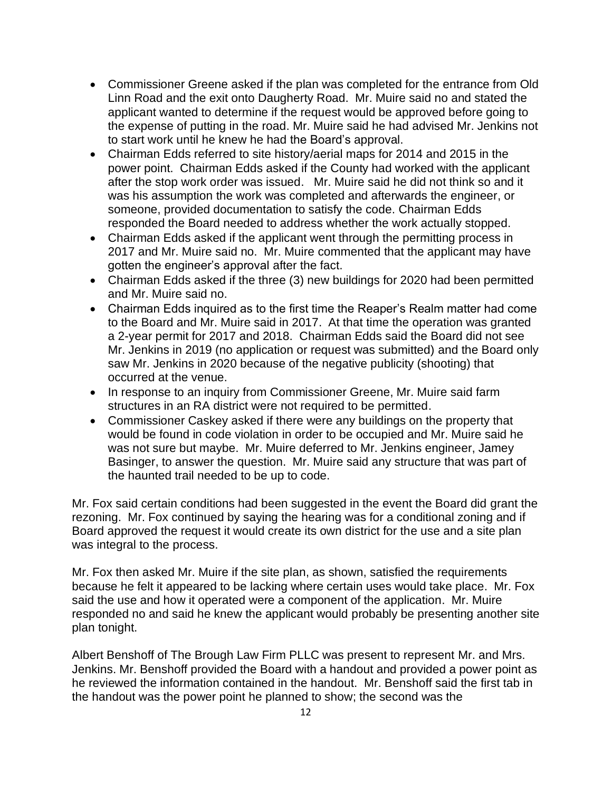- Commissioner Greene asked if the plan was completed for the entrance from Old Linn Road and the exit onto Daugherty Road. Mr. Muire said no and stated the applicant wanted to determine if the request would be approved before going to the expense of putting in the road. Mr. Muire said he had advised Mr. Jenkins not to start work until he knew he had the Board's approval.
- Chairman Edds referred to site history/aerial maps for 2014 and 2015 in the power point. Chairman Edds asked if the County had worked with the applicant after the stop work order was issued. Mr. Muire said he did not think so and it was his assumption the work was completed and afterwards the engineer, or someone, provided documentation to satisfy the code. Chairman Edds responded the Board needed to address whether the work actually stopped.
- Chairman Edds asked if the applicant went through the permitting process in 2017 and Mr. Muire said no. Mr. Muire commented that the applicant may have gotten the engineer's approval after the fact.
- Chairman Edds asked if the three (3) new buildings for 2020 had been permitted and Mr. Muire said no.
- Chairman Edds inquired as to the first time the Reaper's Realm matter had come to the Board and Mr. Muire said in 2017. At that time the operation was granted a 2-year permit for 2017 and 2018. Chairman Edds said the Board did not see Mr. Jenkins in 2019 (no application or request was submitted) and the Board only saw Mr. Jenkins in 2020 because of the negative publicity (shooting) that occurred at the venue.
- In response to an inquiry from Commissioner Greene, Mr. Muire said farm structures in an RA district were not required to be permitted.
- Commissioner Caskey asked if there were any buildings on the property that would be found in code violation in order to be occupied and Mr. Muire said he was not sure but maybe. Mr. Muire deferred to Mr. Jenkins engineer, Jamey Basinger, to answer the question. Mr. Muire said any structure that was part of the haunted trail needed to be up to code.

Mr. Fox said certain conditions had been suggested in the event the Board did grant the rezoning. Mr. Fox continued by saying the hearing was for a conditional zoning and if Board approved the request it would create its own district for the use and a site plan was integral to the process.

Mr. Fox then asked Mr. Muire if the site plan, as shown, satisfied the requirements because he felt it appeared to be lacking where certain uses would take place. Mr. Fox said the use and how it operated were a component of the application. Mr. Muire responded no and said he knew the applicant would probably be presenting another site plan tonight.

Albert Benshoff of The Brough Law Firm PLLC was present to represent Mr. and Mrs. Jenkins. Mr. Benshoff provided the Board with a handout and provided a power point as he reviewed the information contained in the handout. Mr. Benshoff said the first tab in the handout was the power point he planned to show; the second was the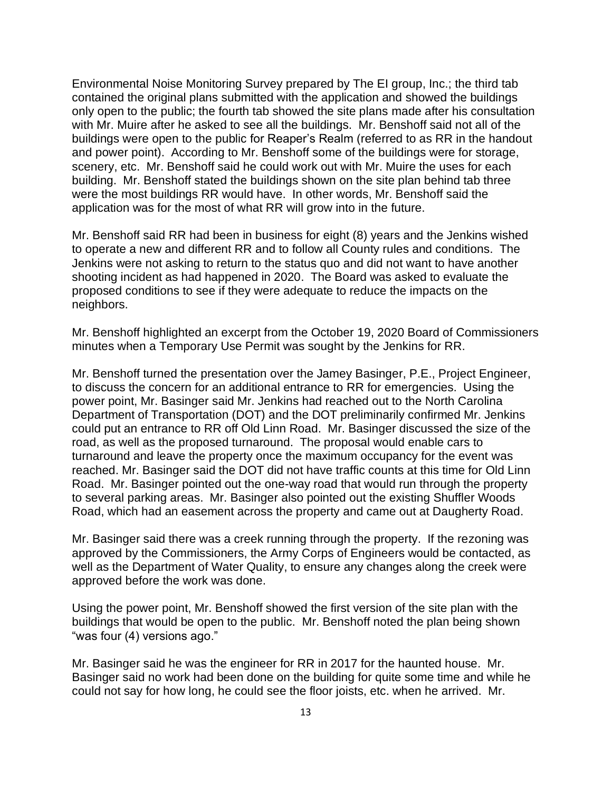Environmental Noise Monitoring Survey prepared by The EI group, Inc.; the third tab contained the original plans submitted with the application and showed the buildings only open to the public; the fourth tab showed the site plans made after his consultation with Mr. Muire after he asked to see all the buildings. Mr. Benshoff said not all of the buildings were open to the public for Reaper's Realm (referred to as RR in the handout and power point). According to Mr. Benshoff some of the buildings were for storage, scenery, etc. Mr. Benshoff said he could work out with Mr. Muire the uses for each building. Mr. Benshoff stated the buildings shown on the site plan behind tab three were the most buildings RR would have. In other words, Mr. Benshoff said the application was for the most of what RR will grow into in the future.

Mr. Benshoff said RR had been in business for eight (8) years and the Jenkins wished to operate a new and different RR and to follow all County rules and conditions. The Jenkins were not asking to return to the status quo and did not want to have another shooting incident as had happened in 2020. The Board was asked to evaluate the proposed conditions to see if they were adequate to reduce the impacts on the neighbors.

Mr. Benshoff highlighted an excerpt from the October 19, 2020 Board of Commissioners minutes when a Temporary Use Permit was sought by the Jenkins for RR.

Mr. Benshoff turned the presentation over the Jamey Basinger, P.E., Project Engineer, to discuss the concern for an additional entrance to RR for emergencies. Using the power point, Mr. Basinger said Mr. Jenkins had reached out to the North Carolina Department of Transportation (DOT) and the DOT preliminarily confirmed Mr. Jenkins could put an entrance to RR off Old Linn Road. Mr. Basinger discussed the size of the road, as well as the proposed turnaround. The proposal would enable cars to turnaround and leave the property once the maximum occupancy for the event was reached. Mr. Basinger said the DOT did not have traffic counts at this time for Old Linn Road. Mr. Basinger pointed out the one-way road that would run through the property to several parking areas. Mr. Basinger also pointed out the existing Shuffler Woods Road, which had an easement across the property and came out at Daugherty Road.

Mr. Basinger said there was a creek running through the property. If the rezoning was approved by the Commissioners, the Army Corps of Engineers would be contacted, as well as the Department of Water Quality, to ensure any changes along the creek were approved before the work was done.

Using the power point, Mr. Benshoff showed the first version of the site plan with the buildings that would be open to the public. Mr. Benshoff noted the plan being shown "was four (4) versions ago."

Mr. Basinger said he was the engineer for RR in 2017 for the haunted house. Mr. Basinger said no work had been done on the building for quite some time and while he could not say for how long, he could see the floor joists, etc. when he arrived. Mr.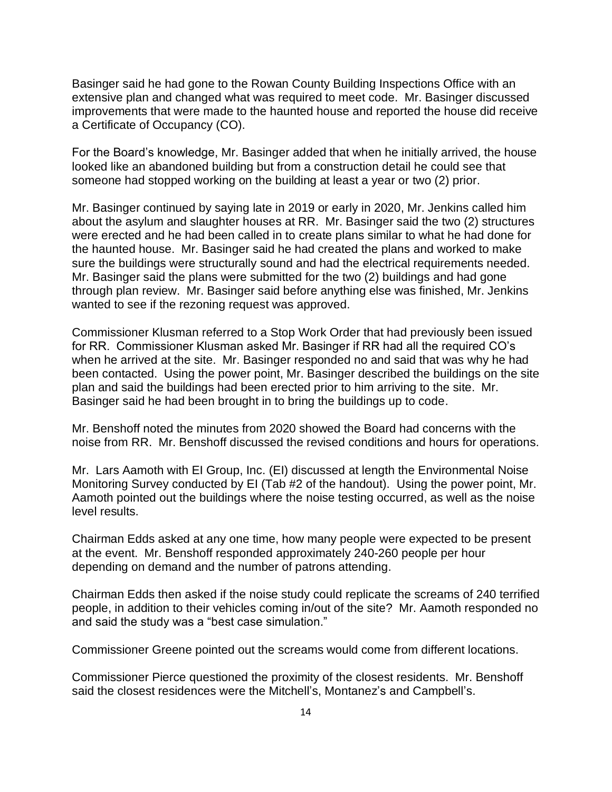Basinger said he had gone to the Rowan County Building Inspections Office with an extensive plan and changed what was required to meet code. Mr. Basinger discussed improvements that were made to the haunted house and reported the house did receive a Certificate of Occupancy (CO).

For the Board's knowledge, Mr. Basinger added that when he initially arrived, the house looked like an abandoned building but from a construction detail he could see that someone had stopped working on the building at least a year or two (2) prior.

Mr. Basinger continued by saying late in 2019 or early in 2020, Mr. Jenkins called him about the asylum and slaughter houses at RR. Mr. Basinger said the two (2) structures were erected and he had been called in to create plans similar to what he had done for the haunted house. Mr. Basinger said he had created the plans and worked to make sure the buildings were structurally sound and had the electrical requirements needed. Mr. Basinger said the plans were submitted for the two (2) buildings and had gone through plan review. Mr. Basinger said before anything else was finished, Mr. Jenkins wanted to see if the rezoning request was approved.

Commissioner Klusman referred to a Stop Work Order that had previously been issued for RR. Commissioner Klusman asked Mr. Basinger if RR had all the required CO's when he arrived at the site. Mr. Basinger responded no and said that was why he had been contacted. Using the power point, Mr. Basinger described the buildings on the site plan and said the buildings had been erected prior to him arriving to the site. Mr. Basinger said he had been brought in to bring the buildings up to code.

Mr. Benshoff noted the minutes from 2020 showed the Board had concerns with the noise from RR. Mr. Benshoff discussed the revised conditions and hours for operations.

Mr. Lars Aamoth with EI Group, Inc. (EI) discussed at length the Environmental Noise Monitoring Survey conducted by EI (Tab #2 of the handout). Using the power point, Mr. Aamoth pointed out the buildings where the noise testing occurred, as well as the noise level results.

Chairman Edds asked at any one time, how many people were expected to be present at the event. Mr. Benshoff responded approximately 240-260 people per hour depending on demand and the number of patrons attending.

Chairman Edds then asked if the noise study could replicate the screams of 240 terrified people, in addition to their vehicles coming in/out of the site? Mr. Aamoth responded no and said the study was a "best case simulation."

Commissioner Greene pointed out the screams would come from different locations.

Commissioner Pierce questioned the proximity of the closest residents. Mr. Benshoff said the closest residences were the Mitchell's, Montanez's and Campbell's.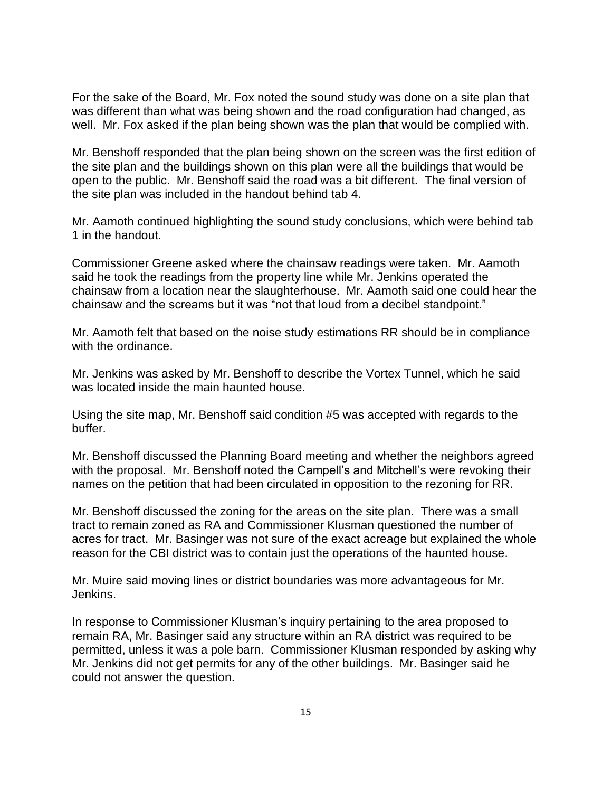For the sake of the Board, Mr. Fox noted the sound study was done on a site plan that was different than what was being shown and the road configuration had changed, as well. Mr. Fox asked if the plan being shown was the plan that would be complied with.

Mr. Benshoff responded that the plan being shown on the screen was the first edition of the site plan and the buildings shown on this plan were all the buildings that would be open to the public. Mr. Benshoff said the road was a bit different. The final version of the site plan was included in the handout behind tab 4.

Mr. Aamoth continued highlighting the sound study conclusions, which were behind tab 1 in the handout.

Commissioner Greene asked where the chainsaw readings were taken. Mr. Aamoth said he took the readings from the property line while Mr. Jenkins operated the chainsaw from a location near the slaughterhouse. Mr. Aamoth said one could hear the chainsaw and the screams but it was "not that loud from a decibel standpoint."

Mr. Aamoth felt that based on the noise study estimations RR should be in compliance with the ordinance.

Mr. Jenkins was asked by Mr. Benshoff to describe the Vortex Tunnel, which he said was located inside the main haunted house.

Using the site map, Mr. Benshoff said condition #5 was accepted with regards to the buffer.

Mr. Benshoff discussed the Planning Board meeting and whether the neighbors agreed with the proposal. Mr. Benshoff noted the Campell's and Mitchell's were revoking their names on the petition that had been circulated in opposition to the rezoning for RR.

Mr. Benshoff discussed the zoning for the areas on the site plan. There was a small tract to remain zoned as RA and Commissioner Klusman questioned the number of acres for tract. Mr. Basinger was not sure of the exact acreage but explained the whole reason for the CBI district was to contain just the operations of the haunted house.

Mr. Muire said moving lines or district boundaries was more advantageous for Mr. Jenkins.

In response to Commissioner Klusman's inquiry pertaining to the area proposed to remain RA, Mr. Basinger said any structure within an RA district was required to be permitted, unless it was a pole barn. Commissioner Klusman responded by asking why Mr. Jenkins did not get permits for any of the other buildings. Mr. Basinger said he could not answer the question.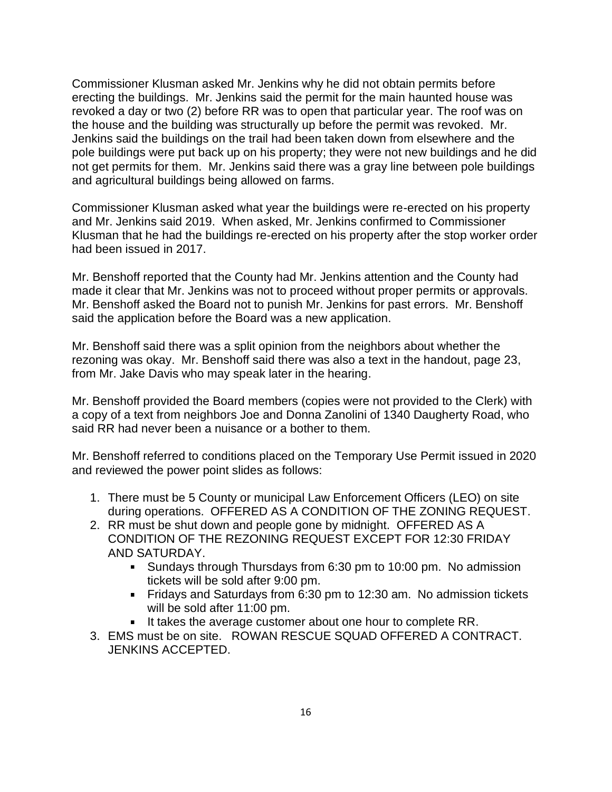Commissioner Klusman asked Mr. Jenkins why he did not obtain permits before erecting the buildings. Mr. Jenkins said the permit for the main haunted house was revoked a day or two (2) before RR was to open that particular year. The roof was on the house and the building was structurally up before the permit was revoked. Mr. Jenkins said the buildings on the trail had been taken down from elsewhere and the pole buildings were put back up on his property; they were not new buildings and he did not get permits for them. Mr. Jenkins said there was a gray line between pole buildings and agricultural buildings being allowed on farms.

Commissioner Klusman asked what year the buildings were re-erected on his property and Mr. Jenkins said 2019. When asked, Mr. Jenkins confirmed to Commissioner Klusman that he had the buildings re-erected on his property after the stop worker order had been issued in 2017.

Mr. Benshoff reported that the County had Mr. Jenkins attention and the County had made it clear that Mr. Jenkins was not to proceed without proper permits or approvals. Mr. Benshoff asked the Board not to punish Mr. Jenkins for past errors. Mr. Benshoff said the application before the Board was a new application.

Mr. Benshoff said there was a split opinion from the neighbors about whether the rezoning was okay. Mr. Benshoff said there was also a text in the handout, page 23, from Mr. Jake Davis who may speak later in the hearing.

Mr. Benshoff provided the Board members (copies were not provided to the Clerk) with a copy of a text from neighbors Joe and Donna Zanolini of 1340 Daugherty Road, who said RR had never been a nuisance or a bother to them.

Mr. Benshoff referred to conditions placed on the Temporary Use Permit issued in 2020 and reviewed the power point slides as follows:

- 1. There must be 5 County or municipal Law Enforcement Officers (LEO) on site during operations. OFFERED AS A CONDITION OF THE ZONING REQUEST.
- 2. RR must be shut down and people gone by midnight. OFFERED AS A CONDITION OF THE REZONING REQUEST EXCEPT FOR 12:30 FRIDAY AND SATURDAY.
	- Sundays through Thursdays from 6:30 pm to 10:00 pm. No admission tickets will be sold after 9:00 pm.
	- Fridays and Saturdays from 6:30 pm to 12:30 am. No admission tickets will be sold after 11:00 pm.
	- It takes the average customer about one hour to complete RR.
- 3. EMS must be on site. ROWAN RESCUE SQUAD OFFERED A CONTRACT. JENKINS ACCEPTED.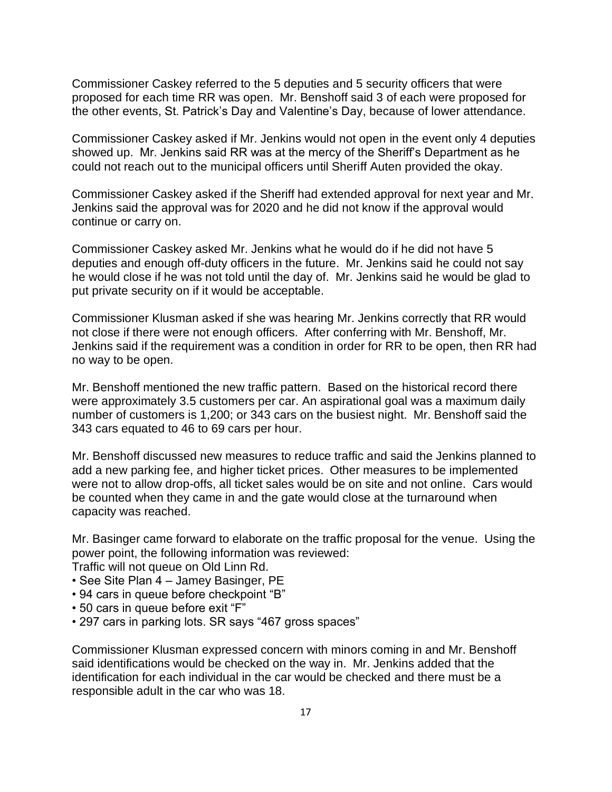Commissioner Caskey referred to the 5 deputies and 5 security officers that were proposed for each time RR was open. Mr. Benshoff said 3 of each were proposed for the other events, St. Patrick's Day and Valentine's Day, because of lower attendance.

Commissioner Caskey asked if Mr. Jenkins would not open in the event only 4 deputies showed up. Mr. Jenkins said RR was at the mercy of the Sheriff's Department as he could not reach out to the municipal officers until Sheriff Auten provided the okay.

Commissioner Caskey asked if the Sheriff had extended approval for next year and Mr. Jenkins said the approval was for 2020 and he did not know if the approval would continue or carry on.

Commissioner Caskey asked Mr. Jenkins what he would do if he did not have 5 deputies and enough off-duty officers in the future. Mr. Jenkins said he could not say he would close if he was not told until the day of. Mr. Jenkins said he would be glad to put private security on if it would be acceptable.

Commissioner Klusman asked if she was hearing Mr. Jenkins correctly that RR would not close if there were not enough officers. After conferring with Mr. Benshoff, Mr. Jenkins said if the requirement was a condition in order for RR to be open, then RR had no way to be open.

Mr. Benshoff mentioned the new traffic pattern. Based on the historical record there were approximately 3.5 customers per car. An aspirational goal was a maximum daily number of customers is 1,200; or 343 cars on the busiest night. Mr. Benshoff said the 343 cars equated to 46 to 69 cars per hour.

Mr. Benshoff discussed new measures to reduce traffic and said the Jenkins planned to add a new parking fee, and higher ticket prices. Other measures to be implemented were not to allow drop-offs, all ticket sales would be on site and not online. Cars would be counted when they came in and the gate would close at the turnaround when capacity was reached.

Mr. Basinger came forward to elaborate on the traffic proposal for the venue. Using the power point, the following information was reviewed:

Traffic will not queue on Old Linn Rd.

- See Site Plan 4 Jamey Basinger, PE
- 94 cars in queue before checkpoint "B"
- 50 cars in queue before exit "F"
- 297 cars in parking lots. SR says "467 gross spaces"

Commissioner Klusman expressed concern with minors coming in and Mr. Benshoff said identifications would be checked on the way in. Mr. Jenkins added that the identification for each individual in the car would be checked and there must be a responsible adult in the car who was 18.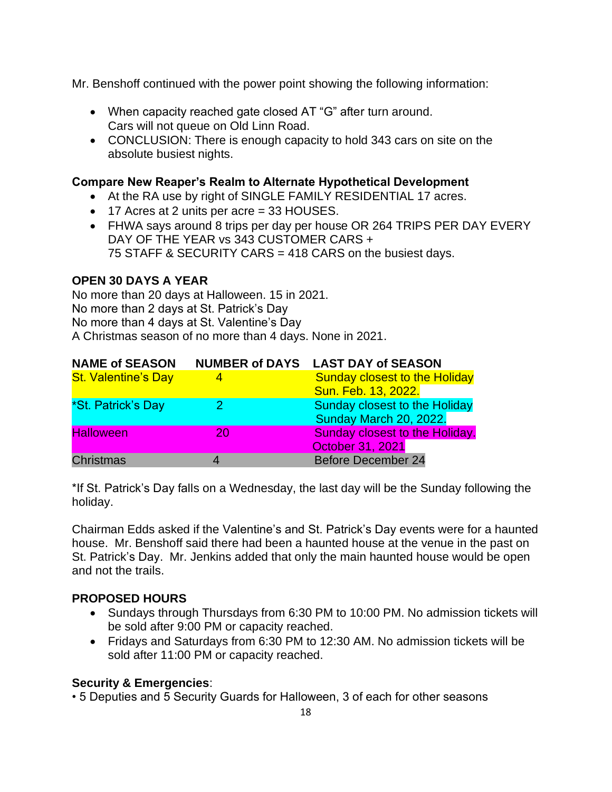Mr. Benshoff continued with the power point showing the following information:

- When capacity reached gate closed AT "G" after turn around. Cars will not queue on Old Linn Road.
- CONCLUSION: There is enough capacity to hold 343 cars on site on the absolute busiest nights.

#### **Compare New Reaper's Realm to Alternate Hypothetical Development**

- At the RA use by right of SINGLE FAMILY RESIDENTIAL 17 acres.
- 17 Acres at 2 units per acre = 33 HOUSES.
- FHWA says around 8 trips per day per house OR 264 TRIPS PER DAY EVERY DAY OF THE YEAR vs 343 CUSTOMER CARS + 75 STAFF & SECURITY CARS = 418 CARS on the busiest days.

#### **OPEN 30 DAYS A YEAR**

No more than 20 days at Halloween. 15 in 2021. No more than 2 days at St. Patrick's Day No more than 4 days at St. Valentine's Day A Christmas season of no more than 4 days. None in 2021.

| <b>NAME of SEASON</b>      |    | NUMBER of DAYS LAST DAY of SEASON     |
|----------------------------|----|---------------------------------------|
| <b>St. Valentine's Day</b> |    | <b>Sunday closest to the Holiday</b>  |
|                            |    | Sun. Feb. 13, 2022.                   |
| *St. Patrick's Day         |    | <b>Sunday closest to the Holiday</b>  |
|                            |    | Sunday March 20, 2022.                |
| <b>Halloween</b>           | 20 | <b>Sunday closest to the Holiday.</b> |
|                            |    | October 31, 2021                      |
| <b>Christmas</b>           |    | <b>Before December 24</b>             |

\*If St. Patrick's Day falls on a Wednesday, the last day will be the Sunday following the holiday.

Chairman Edds asked if the Valentine's and St. Patrick's Day events were for a haunted house. Mr. Benshoff said there had been a haunted house at the venue in the past on St. Patrick's Day. Mr. Jenkins added that only the main haunted house would be open and not the trails.

#### **PROPOSED HOURS**

- Sundays through Thursdays from 6:30 PM to 10:00 PM. No admission tickets will be sold after 9:00 PM or capacity reached.
- Fridays and Saturdays from 6:30 PM to 12:30 AM. No admission tickets will be sold after 11:00 PM or capacity reached.

#### **Security & Emergencies**:

• 5 Deputies and 5 Security Guards for Halloween, 3 of each for other seasons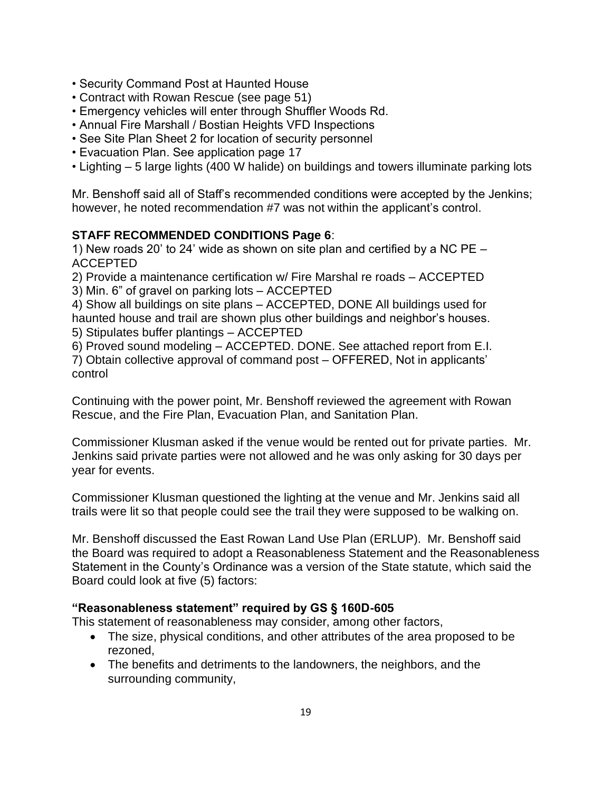- Security Command Post at Haunted House
- Contract with Rowan Rescue (see page 51)
- Emergency vehicles will enter through Shuffler Woods Rd.
- Annual Fire Marshall / Bostian Heights VFD Inspections
- See Site Plan Sheet 2 for location of security personnel
- Evacuation Plan. See application page 17
- Lighting 5 large lights (400 W halide) on buildings and towers illuminate parking lots

Mr. Benshoff said all of Staff's recommended conditions were accepted by the Jenkins; however, he noted recommendation #7 was not within the applicant's control.

# **STAFF RECOMMENDED CONDITIONS Page 6**:

1) New roads 20' to 24' wide as shown on site plan and certified by a NC PE – ACCEPTED

2) Provide a maintenance certification w/ Fire Marshal re roads – ACCEPTED

3) Min. 6" of gravel on parking lots – ACCEPTED

4) Show all buildings on site plans – ACCEPTED, DONE All buildings used for haunted house and trail are shown plus other buildings and neighbor's houses. 5) Stipulates buffer plantings – ACCEPTED

6) Proved sound modeling – ACCEPTED. DONE. See attached report from E.I.

7) Obtain collective approval of command post – OFFERED, Not in applicants' control

Continuing with the power point, Mr. Benshoff reviewed the agreement with Rowan Rescue, and the Fire Plan, Evacuation Plan, and Sanitation Plan.

Commissioner Klusman asked if the venue would be rented out for private parties. Mr. Jenkins said private parties were not allowed and he was only asking for 30 days per year for events.

Commissioner Klusman questioned the lighting at the venue and Mr. Jenkins said all trails were lit so that people could see the trail they were supposed to be walking on.

Mr. Benshoff discussed the East Rowan Land Use Plan (ERLUP). Mr. Benshoff said the Board was required to adopt a Reasonableness Statement and the Reasonableness Statement in the County's Ordinance was a version of the State statute, which said the Board could look at five (5) factors:

# **"Reasonableness statement" required by GS § 160D-605**

This statement of reasonableness may consider, among other factors,

- The size, physical conditions, and other attributes of the area proposed to be rezoned,
- The benefits and detriments to the landowners, the neighbors, and the surrounding community,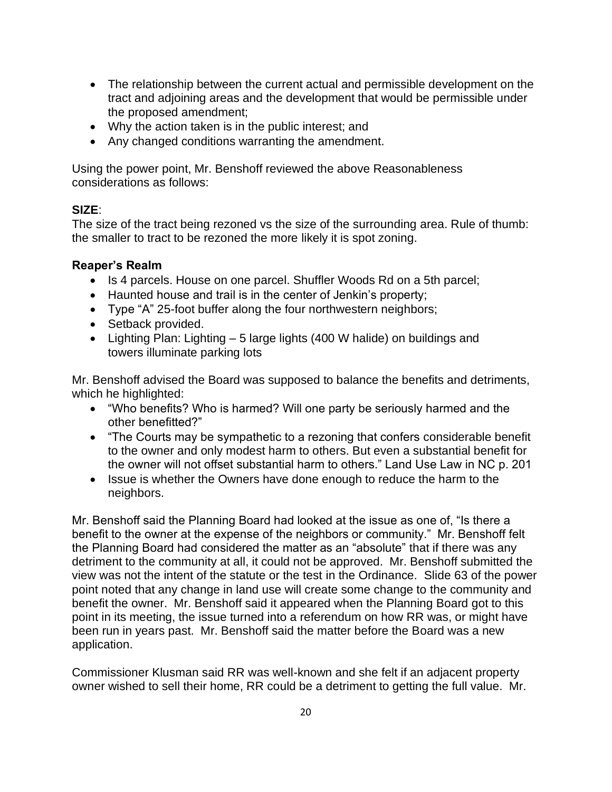- The relationship between the current actual and permissible development on the tract and adjoining areas and the development that would be permissible under the proposed amendment;
- Why the action taken is in the public interest; and
- Any changed conditions warranting the amendment.

Using the power point, Mr. Benshoff reviewed the above Reasonableness considerations as follows:

#### **SIZE**:

The size of the tract being rezoned vs the size of the surrounding area. Rule of thumb: the smaller to tract to be rezoned the more likely it is spot zoning.

#### **Reaper's Realm**

- Is 4 parcels. House on one parcel. Shuffler Woods Rd on a 5th parcel;
- Haunted house and trail is in the center of Jenkin's property;
- Type "A" 25-foot buffer along the four northwestern neighbors;
- Setback provided.
- Lighting Plan: Lighting 5 large lights (400 W halide) on buildings and towers illuminate parking lots

Mr. Benshoff advised the Board was supposed to balance the benefits and detriments, which he highlighted:

- "Who benefits? Who is harmed? Will one party be seriously harmed and the other benefitted?"
- "The Courts may be sympathetic to a rezoning that confers considerable benefit to the owner and only modest harm to others. But even a substantial benefit for the owner will not offset substantial harm to others." Land Use Law in NC p. 201
- Issue is whether the Owners have done enough to reduce the harm to the neighbors.

Mr. Benshoff said the Planning Board had looked at the issue as one of, "Is there a benefit to the owner at the expense of the neighbors or community." Mr. Benshoff felt the Planning Board had considered the matter as an "absolute" that if there was any detriment to the community at all, it could not be approved. Mr. Benshoff submitted the view was not the intent of the statute or the test in the Ordinance. Slide 63 of the power point noted that any change in land use will create some change to the community and benefit the owner. Mr. Benshoff said it appeared when the Planning Board got to this point in its meeting, the issue turned into a referendum on how RR was, or might have been run in years past. Mr. Benshoff said the matter before the Board was a new application.

Commissioner Klusman said RR was well-known and she felt if an adjacent property owner wished to sell their home, RR could be a detriment to getting the full value. Mr.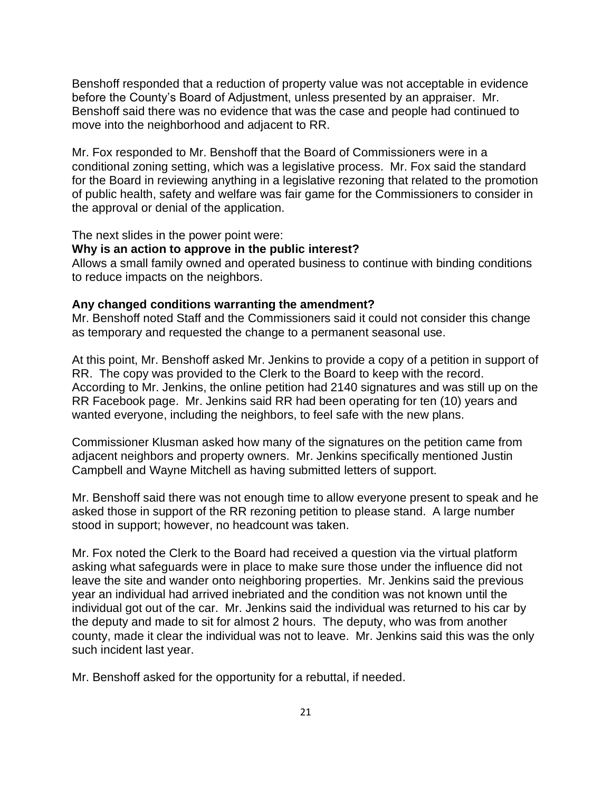Benshoff responded that a reduction of property value was not acceptable in evidence before the County's Board of Adjustment, unless presented by an appraiser. Mr. Benshoff said there was no evidence that was the case and people had continued to move into the neighborhood and adjacent to RR.

Mr. Fox responded to Mr. Benshoff that the Board of Commissioners were in a conditional zoning setting, which was a legislative process. Mr. Fox said the standard for the Board in reviewing anything in a legislative rezoning that related to the promotion of public health, safety and welfare was fair game for the Commissioners to consider in the approval or denial of the application.

The next slides in the power point were:

#### **Why is an action to approve in the public interest?**

Allows a small family owned and operated business to continue with binding conditions to reduce impacts on the neighbors.

#### **Any changed conditions warranting the amendment?**

Mr. Benshoff noted Staff and the Commissioners said it could not consider this change as temporary and requested the change to a permanent seasonal use.

At this point, Mr. Benshoff asked Mr. Jenkins to provide a copy of a petition in support of RR. The copy was provided to the Clerk to the Board to keep with the record. According to Mr. Jenkins, the online petition had 2140 signatures and was still up on the RR Facebook page. Mr. Jenkins said RR had been operating for ten (10) years and wanted everyone, including the neighbors, to feel safe with the new plans.

Commissioner Klusman asked how many of the signatures on the petition came from adjacent neighbors and property owners. Mr. Jenkins specifically mentioned Justin Campbell and Wayne Mitchell as having submitted letters of support.

Mr. Benshoff said there was not enough time to allow everyone present to speak and he asked those in support of the RR rezoning petition to please stand. A large number stood in support; however, no headcount was taken.

Mr. Fox noted the Clerk to the Board had received a question via the virtual platform asking what safeguards were in place to make sure those under the influence did not leave the site and wander onto neighboring properties. Mr. Jenkins said the previous year an individual had arrived inebriated and the condition was not known until the individual got out of the car. Mr. Jenkins said the individual was returned to his car by the deputy and made to sit for almost 2 hours. The deputy, who was from another county, made it clear the individual was not to leave. Mr. Jenkins said this was the only such incident last year.

Mr. Benshoff asked for the opportunity for a rebuttal, if needed.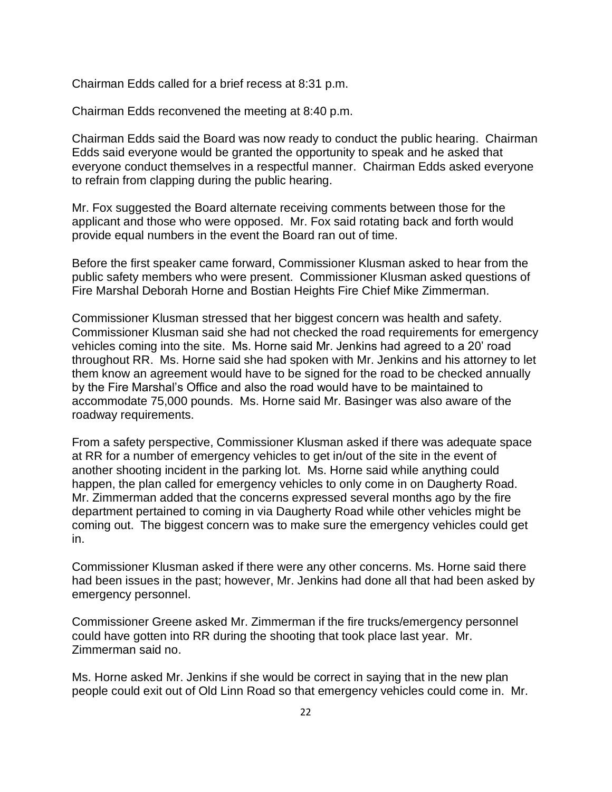Chairman Edds called for a brief recess at 8:31 p.m.

Chairman Edds reconvened the meeting at 8:40 p.m.

Chairman Edds said the Board was now ready to conduct the public hearing. Chairman Edds said everyone would be granted the opportunity to speak and he asked that everyone conduct themselves in a respectful manner. Chairman Edds asked everyone to refrain from clapping during the public hearing.

Mr. Fox suggested the Board alternate receiving comments between those for the applicant and those who were opposed. Mr. Fox said rotating back and forth would provide equal numbers in the event the Board ran out of time.

Before the first speaker came forward, Commissioner Klusman asked to hear from the public safety members who were present. Commissioner Klusman asked questions of Fire Marshal Deborah Horne and Bostian Heights Fire Chief Mike Zimmerman.

Commissioner Klusman stressed that her biggest concern was health and safety. Commissioner Klusman said she had not checked the road requirements for emergency vehicles coming into the site. Ms. Horne said Mr. Jenkins had agreed to a 20' road throughout RR. Ms. Horne said she had spoken with Mr. Jenkins and his attorney to let them know an agreement would have to be signed for the road to be checked annually by the Fire Marshal's Office and also the road would have to be maintained to accommodate 75,000 pounds. Ms. Horne said Mr. Basinger was also aware of the roadway requirements.

From a safety perspective, Commissioner Klusman asked if there was adequate space at RR for a number of emergency vehicles to get in/out of the site in the event of another shooting incident in the parking lot. Ms. Horne said while anything could happen, the plan called for emergency vehicles to only come in on Daugherty Road. Mr. Zimmerman added that the concerns expressed several months ago by the fire department pertained to coming in via Daugherty Road while other vehicles might be coming out. The biggest concern was to make sure the emergency vehicles could get in.

Commissioner Klusman asked if there were any other concerns. Ms. Horne said there had been issues in the past; however, Mr. Jenkins had done all that had been asked by emergency personnel.

Commissioner Greene asked Mr. Zimmerman if the fire trucks/emergency personnel could have gotten into RR during the shooting that took place last year. Mr. Zimmerman said no.

Ms. Horne asked Mr. Jenkins if she would be correct in saying that in the new plan people could exit out of Old Linn Road so that emergency vehicles could come in. Mr.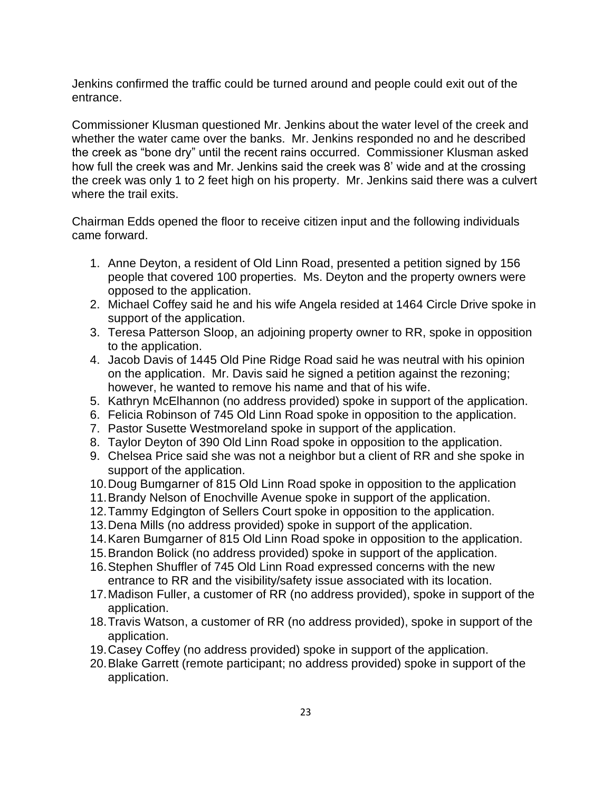Jenkins confirmed the traffic could be turned around and people could exit out of the entrance.

Commissioner Klusman questioned Mr. Jenkins about the water level of the creek and whether the water came over the banks. Mr. Jenkins responded no and he described the creek as "bone dry" until the recent rains occurred. Commissioner Klusman asked how full the creek was and Mr. Jenkins said the creek was 8' wide and at the crossing the creek was only 1 to 2 feet high on his property. Mr. Jenkins said there was a culvert where the trail exits.

Chairman Edds opened the floor to receive citizen input and the following individuals came forward.

- 1. Anne Deyton, a resident of Old Linn Road, presented a petition signed by 156 people that covered 100 properties. Ms. Deyton and the property owners were opposed to the application.
- 2. Michael Coffey said he and his wife Angela resided at 1464 Circle Drive spoke in support of the application.
- 3. Teresa Patterson Sloop, an adjoining property owner to RR, spoke in opposition to the application.
- 4. Jacob Davis of 1445 Old Pine Ridge Road said he was neutral with his opinion on the application. Mr. Davis said he signed a petition against the rezoning; however, he wanted to remove his name and that of his wife.
- 5. Kathryn McElhannon (no address provided) spoke in support of the application.
- 6. Felicia Robinson of 745 Old Linn Road spoke in opposition to the application.
- 7. Pastor Susette Westmoreland spoke in support of the application.
- 8. Taylor Deyton of 390 Old Linn Road spoke in opposition to the application.
- 9. Chelsea Price said she was not a neighbor but a client of RR and she spoke in support of the application.
- 10.Doug Bumgarner of 815 Old Linn Road spoke in opposition to the application
- 11.Brandy Nelson of Enochville Avenue spoke in support of the application.
- 12.Tammy Edgington of Sellers Court spoke in opposition to the application.
- 13.Dena Mills (no address provided) spoke in support of the application.
- 14.Karen Bumgarner of 815 Old Linn Road spoke in opposition to the application.
- 15.Brandon Bolick (no address provided) spoke in support of the application.
- 16.Stephen Shuffler of 745 Old Linn Road expressed concerns with the new entrance to RR and the visibility/safety issue associated with its location.
- 17.Madison Fuller, a customer of RR (no address provided), spoke in support of the application.
- 18.Travis Watson, a customer of RR (no address provided), spoke in support of the application.
- 19.Casey Coffey (no address provided) spoke in support of the application.
- 20.Blake Garrett (remote participant; no address provided) spoke in support of the application.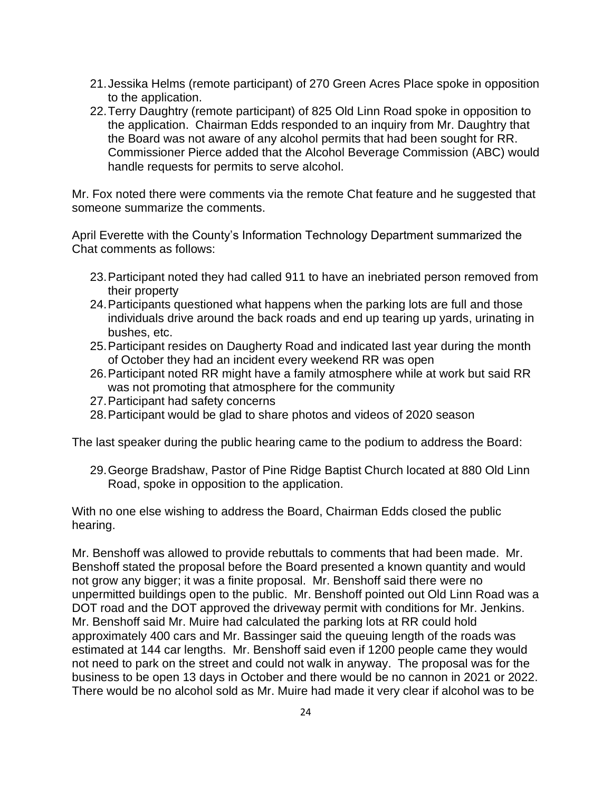- 21.Jessika Helms (remote participant) of 270 Green Acres Place spoke in opposition to the application.
- 22.Terry Daughtry (remote participant) of 825 Old Linn Road spoke in opposition to the application. Chairman Edds responded to an inquiry from Mr. Daughtry that the Board was not aware of any alcohol permits that had been sought for RR. Commissioner Pierce added that the Alcohol Beverage Commission (ABC) would handle requests for permits to serve alcohol.

Mr. Fox noted there were comments via the remote Chat feature and he suggested that someone summarize the comments.

April Everette with the County's Information Technology Department summarized the Chat comments as follows:

- 23.Participant noted they had called 911 to have an inebriated person removed from their property
- 24.Participants questioned what happens when the parking lots are full and those individuals drive around the back roads and end up tearing up yards, urinating in bushes, etc.
- 25.Participant resides on Daugherty Road and indicated last year during the month of October they had an incident every weekend RR was open
- 26.Participant noted RR might have a family atmosphere while at work but said RR was not promoting that atmosphere for the community
- 27.Participant had safety concerns
- 28.Participant would be glad to share photos and videos of 2020 season

The last speaker during the public hearing came to the podium to address the Board:

29.George Bradshaw, Pastor of Pine Ridge Baptist Church located at 880 Old Linn Road, spoke in opposition to the application.

With no one else wishing to address the Board, Chairman Edds closed the public hearing.

Mr. Benshoff was allowed to provide rebuttals to comments that had been made. Mr. Benshoff stated the proposal before the Board presented a known quantity and would not grow any bigger; it was a finite proposal. Mr. Benshoff said there were no unpermitted buildings open to the public. Mr. Benshoff pointed out Old Linn Road was a DOT road and the DOT approved the driveway permit with conditions for Mr. Jenkins. Mr. Benshoff said Mr. Muire had calculated the parking lots at RR could hold approximately 400 cars and Mr. Bassinger said the queuing length of the roads was estimated at 144 car lengths. Mr. Benshoff said even if 1200 people came they would not need to park on the street and could not walk in anyway. The proposal was for the business to be open 13 days in October and there would be no cannon in 2021 or 2022. There would be no alcohol sold as Mr. Muire had made it very clear if alcohol was to be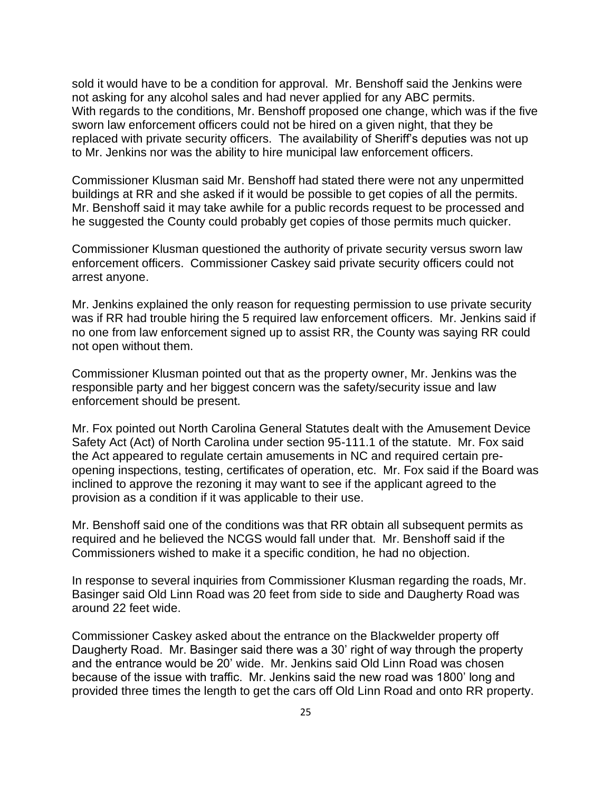sold it would have to be a condition for approval. Mr. Benshoff said the Jenkins were not asking for any alcohol sales and had never applied for any ABC permits. With regards to the conditions, Mr. Benshoff proposed one change, which was if the five sworn law enforcement officers could not be hired on a given night, that they be replaced with private security officers. The availability of Sheriff's deputies was not up to Mr. Jenkins nor was the ability to hire municipal law enforcement officers.

Commissioner Klusman said Mr. Benshoff had stated there were not any unpermitted buildings at RR and she asked if it would be possible to get copies of all the permits. Mr. Benshoff said it may take awhile for a public records request to be processed and he suggested the County could probably get copies of those permits much quicker.

Commissioner Klusman questioned the authority of private security versus sworn law enforcement officers. Commissioner Caskey said private security officers could not arrest anyone.

Mr. Jenkins explained the only reason for requesting permission to use private security was if RR had trouble hiring the 5 required law enforcement officers. Mr. Jenkins said if no one from law enforcement signed up to assist RR, the County was saying RR could not open without them.

Commissioner Klusman pointed out that as the property owner, Mr. Jenkins was the responsible party and her biggest concern was the safety/security issue and law enforcement should be present.

Mr. Fox pointed out North Carolina General Statutes dealt with the Amusement Device Safety Act (Act) of North Carolina under section 95-111.1 of the statute. Mr. Fox said the Act appeared to regulate certain amusements in NC and required certain preopening inspections, testing, certificates of operation, etc. Mr. Fox said if the Board was inclined to approve the rezoning it may want to see if the applicant agreed to the provision as a condition if it was applicable to their use.

Mr. Benshoff said one of the conditions was that RR obtain all subsequent permits as required and he believed the NCGS would fall under that. Mr. Benshoff said if the Commissioners wished to make it a specific condition, he had no objection.

In response to several inquiries from Commissioner Klusman regarding the roads, Mr. Basinger said Old Linn Road was 20 feet from side to side and Daugherty Road was around 22 feet wide.

Commissioner Caskey asked about the entrance on the Blackwelder property off Daugherty Road. Mr. Basinger said there was a 30' right of way through the property and the entrance would be 20' wide. Mr. Jenkins said Old Linn Road was chosen because of the issue with traffic. Mr. Jenkins said the new road was 1800' long and provided three times the length to get the cars off Old Linn Road and onto RR property.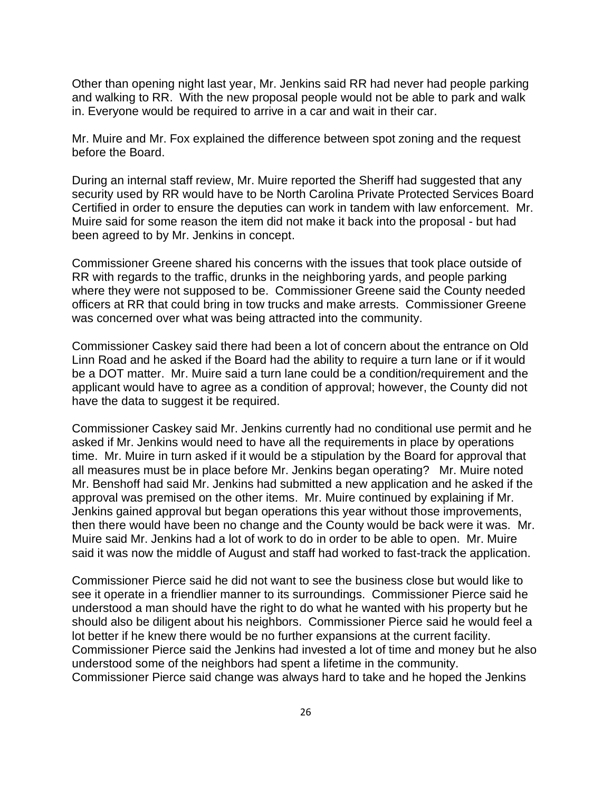Other than opening night last year, Mr. Jenkins said RR had never had people parking and walking to RR. With the new proposal people would not be able to park and walk in. Everyone would be required to arrive in a car and wait in their car.

Mr. Muire and Mr. Fox explained the difference between spot zoning and the request before the Board.

During an internal staff review, Mr. Muire reported the Sheriff had suggested that any security used by RR would have to be North Carolina Private Protected Services Board Certified in order to ensure the deputies can work in tandem with law enforcement. Mr. Muire said for some reason the item did not make it back into the proposal - but had been agreed to by Mr. Jenkins in concept.

Commissioner Greene shared his concerns with the issues that took place outside of RR with regards to the traffic, drunks in the neighboring yards, and people parking where they were not supposed to be. Commissioner Greene said the County needed officers at RR that could bring in tow trucks and make arrests. Commissioner Greene was concerned over what was being attracted into the community.

Commissioner Caskey said there had been a lot of concern about the entrance on Old Linn Road and he asked if the Board had the ability to require a turn lane or if it would be a DOT matter. Mr. Muire said a turn lane could be a condition/requirement and the applicant would have to agree as a condition of approval; however, the County did not have the data to suggest it be required.

Commissioner Caskey said Mr. Jenkins currently had no conditional use permit and he asked if Mr. Jenkins would need to have all the requirements in place by operations time. Mr. Muire in turn asked if it would be a stipulation by the Board for approval that all measures must be in place before Mr. Jenkins began operating? Mr. Muire noted Mr. Benshoff had said Mr. Jenkins had submitted a new application and he asked if the approval was premised on the other items. Mr. Muire continued by explaining if Mr. Jenkins gained approval but began operations this year without those improvements, then there would have been no change and the County would be back were it was. Mr. Muire said Mr. Jenkins had a lot of work to do in order to be able to open. Mr. Muire said it was now the middle of August and staff had worked to fast-track the application.

Commissioner Pierce said he did not want to see the business close but would like to see it operate in a friendlier manner to its surroundings. Commissioner Pierce said he understood a man should have the right to do what he wanted with his property but he should also be diligent about his neighbors. Commissioner Pierce said he would feel a lot better if he knew there would be no further expansions at the current facility. Commissioner Pierce said the Jenkins had invested a lot of time and money but he also understood some of the neighbors had spent a lifetime in the community. Commissioner Pierce said change was always hard to take and he hoped the Jenkins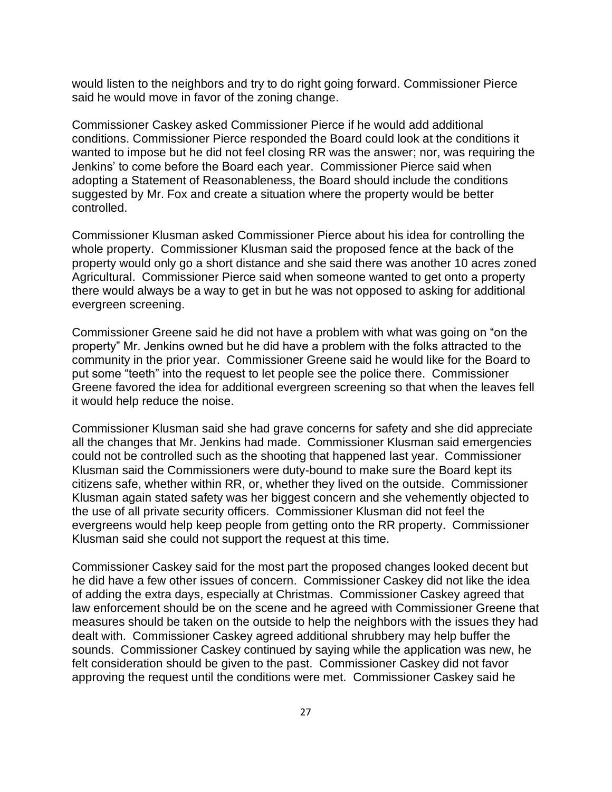would listen to the neighbors and try to do right going forward. Commissioner Pierce said he would move in favor of the zoning change.

Commissioner Caskey asked Commissioner Pierce if he would add additional conditions. Commissioner Pierce responded the Board could look at the conditions it wanted to impose but he did not feel closing RR was the answer; nor, was requiring the Jenkins' to come before the Board each year. Commissioner Pierce said when adopting a Statement of Reasonableness, the Board should include the conditions suggested by Mr. Fox and create a situation where the property would be better controlled.

Commissioner Klusman asked Commissioner Pierce about his idea for controlling the whole property. Commissioner Klusman said the proposed fence at the back of the property would only go a short distance and she said there was another 10 acres zoned Agricultural. Commissioner Pierce said when someone wanted to get onto a property there would always be a way to get in but he was not opposed to asking for additional evergreen screening.

Commissioner Greene said he did not have a problem with what was going on "on the property" Mr. Jenkins owned but he did have a problem with the folks attracted to the community in the prior year. Commissioner Greene said he would like for the Board to put some "teeth" into the request to let people see the police there. Commissioner Greene favored the idea for additional evergreen screening so that when the leaves fell it would help reduce the noise.

Commissioner Klusman said she had grave concerns for safety and she did appreciate all the changes that Mr. Jenkins had made. Commissioner Klusman said emergencies could not be controlled such as the shooting that happened last year. Commissioner Klusman said the Commissioners were duty-bound to make sure the Board kept its citizens safe, whether within RR, or, whether they lived on the outside. Commissioner Klusman again stated safety was her biggest concern and she vehemently objected to the use of all private security officers. Commissioner Klusman did not feel the evergreens would help keep people from getting onto the RR property. Commissioner Klusman said she could not support the request at this time.

Commissioner Caskey said for the most part the proposed changes looked decent but he did have a few other issues of concern. Commissioner Caskey did not like the idea of adding the extra days, especially at Christmas. Commissioner Caskey agreed that law enforcement should be on the scene and he agreed with Commissioner Greene that measures should be taken on the outside to help the neighbors with the issues they had dealt with. Commissioner Caskey agreed additional shrubbery may help buffer the sounds. Commissioner Caskey continued by saying while the application was new, he felt consideration should be given to the past. Commissioner Caskey did not favor approving the request until the conditions were met. Commissioner Caskey said he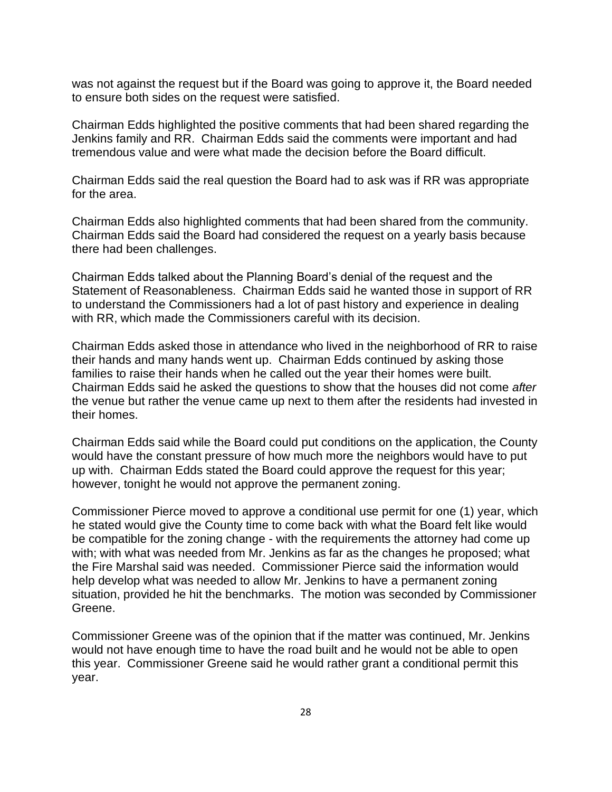was not against the request but if the Board was going to approve it, the Board needed to ensure both sides on the request were satisfied.

Chairman Edds highlighted the positive comments that had been shared regarding the Jenkins family and RR. Chairman Edds said the comments were important and had tremendous value and were what made the decision before the Board difficult.

Chairman Edds said the real question the Board had to ask was if RR was appropriate for the area.

Chairman Edds also highlighted comments that had been shared from the community. Chairman Edds said the Board had considered the request on a yearly basis because there had been challenges.

Chairman Edds talked about the Planning Board's denial of the request and the Statement of Reasonableness. Chairman Edds said he wanted those in support of RR to understand the Commissioners had a lot of past history and experience in dealing with RR, which made the Commissioners careful with its decision.

Chairman Edds asked those in attendance who lived in the neighborhood of RR to raise their hands and many hands went up. Chairman Edds continued by asking those families to raise their hands when he called out the year their homes were built. Chairman Edds said he asked the questions to show that the houses did not come *after* the venue but rather the venue came up next to them after the residents had invested in their homes.

Chairman Edds said while the Board could put conditions on the application, the County would have the constant pressure of how much more the neighbors would have to put up with. Chairman Edds stated the Board could approve the request for this year; however, tonight he would not approve the permanent zoning.

Commissioner Pierce moved to approve a conditional use permit for one (1) year, which he stated would give the County time to come back with what the Board felt like would be compatible for the zoning change - with the requirements the attorney had come up with; with what was needed from Mr. Jenkins as far as the changes he proposed; what the Fire Marshal said was needed. Commissioner Pierce said the information would help develop what was needed to allow Mr. Jenkins to have a permanent zoning situation, provided he hit the benchmarks. The motion was seconded by Commissioner Greene.

Commissioner Greene was of the opinion that if the matter was continued, Mr. Jenkins would not have enough time to have the road built and he would not be able to open this year. Commissioner Greene said he would rather grant a conditional permit this year.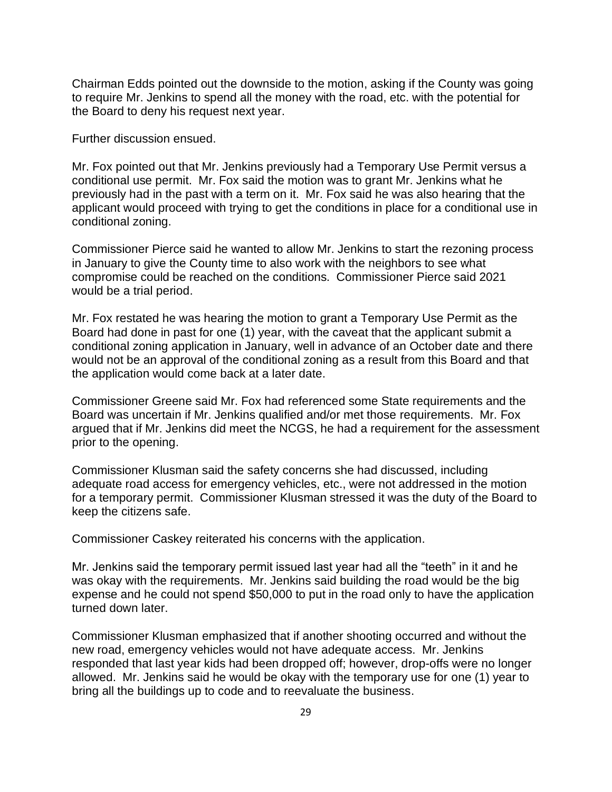Chairman Edds pointed out the downside to the motion, asking if the County was going to require Mr. Jenkins to spend all the money with the road, etc. with the potential for the Board to deny his request next year.

Further discussion ensued.

Mr. Fox pointed out that Mr. Jenkins previously had a Temporary Use Permit versus a conditional use permit. Mr. Fox said the motion was to grant Mr. Jenkins what he previously had in the past with a term on it. Mr. Fox said he was also hearing that the applicant would proceed with trying to get the conditions in place for a conditional use in conditional zoning.

Commissioner Pierce said he wanted to allow Mr. Jenkins to start the rezoning process in January to give the County time to also work with the neighbors to see what compromise could be reached on the conditions. Commissioner Pierce said 2021 would be a trial period.

Mr. Fox restated he was hearing the motion to grant a Temporary Use Permit as the Board had done in past for one (1) year, with the caveat that the applicant submit a conditional zoning application in January, well in advance of an October date and there would not be an approval of the conditional zoning as a result from this Board and that the application would come back at a later date.

Commissioner Greene said Mr. Fox had referenced some State requirements and the Board was uncertain if Mr. Jenkins qualified and/or met those requirements. Mr. Fox argued that if Mr. Jenkins did meet the NCGS, he had a requirement for the assessment prior to the opening.

Commissioner Klusman said the safety concerns she had discussed, including adequate road access for emergency vehicles, etc., were not addressed in the motion for a temporary permit. Commissioner Klusman stressed it was the duty of the Board to keep the citizens safe.

Commissioner Caskey reiterated his concerns with the application.

Mr. Jenkins said the temporary permit issued last year had all the "teeth" in it and he was okay with the requirements. Mr. Jenkins said building the road would be the big expense and he could not spend \$50,000 to put in the road only to have the application turned down later.

Commissioner Klusman emphasized that if another shooting occurred and without the new road, emergency vehicles would not have adequate access. Mr. Jenkins responded that last year kids had been dropped off; however, drop-offs were no longer allowed. Mr. Jenkins said he would be okay with the temporary use for one (1) year to bring all the buildings up to code and to reevaluate the business.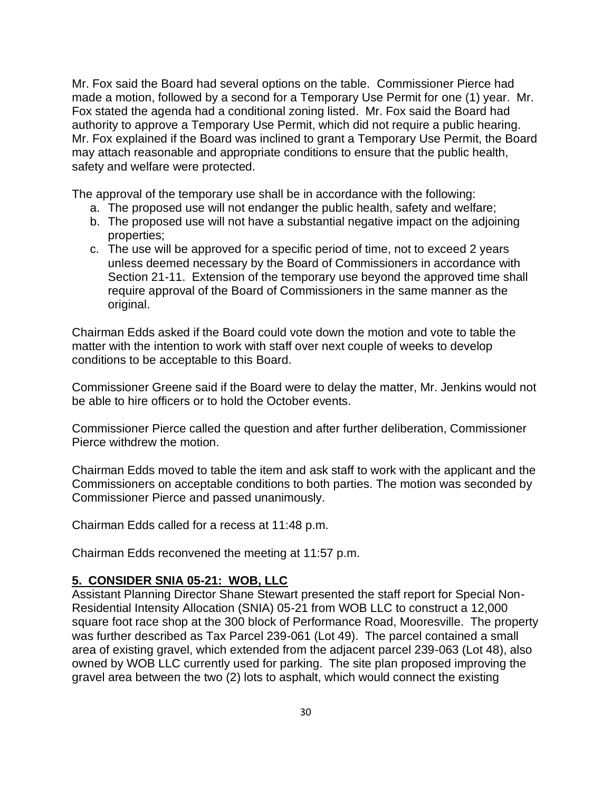Mr. Fox said the Board had several options on the table. Commissioner Pierce had made a motion, followed by a second for a Temporary Use Permit for one (1) year. Mr. Fox stated the agenda had a conditional zoning listed. Mr. Fox said the Board had authority to approve a Temporary Use Permit, which did not require a public hearing. Mr. Fox explained if the Board was inclined to grant a Temporary Use Permit, the Board may attach reasonable and appropriate conditions to ensure that the public health, safety and welfare were protected.

The approval of the temporary use shall be in accordance with the following:

- a. The proposed use will not endanger the public health, safety and welfare;
- b. The proposed use will not have a substantial negative impact on the adjoining properties;
- c. The use will be approved for a specific period of time, not to exceed 2 years unless deemed necessary by the Board of Commissioners in accordance with Section 21-11. Extension of the temporary use beyond the approved time shall require approval of the Board of Commissioners in the same manner as the original.

Chairman Edds asked if the Board could vote down the motion and vote to table the matter with the intention to work with staff over next couple of weeks to develop conditions to be acceptable to this Board.

Commissioner Greene said if the Board were to delay the matter, Mr. Jenkins would not be able to hire officers or to hold the October events.

Commissioner Pierce called the question and after further deliberation, Commissioner Pierce withdrew the motion.

Chairman Edds moved to table the item and ask staff to work with the applicant and the Commissioners on acceptable conditions to both parties. The motion was seconded by Commissioner Pierce and passed unanimously.

Chairman Edds called for a recess at 11:48 p.m.

Chairman Edds reconvened the meeting at 11:57 p.m.

#### **5. CONSIDER SNIA 05-21: WOB, LLC**

Assistant Planning Director Shane Stewart presented the staff report for Special Non-Residential Intensity Allocation (SNIA) 05-21 from WOB LLC to construct a 12,000 square foot race shop at the 300 block of Performance Road, Mooresville. The property was further described as Tax Parcel 239-061 (Lot 49). The parcel contained a small area of existing gravel, which extended from the adjacent parcel 239-063 (Lot 48), also owned by WOB LLC currently used for parking. The site plan proposed improving the gravel area between the two (2) lots to asphalt, which would connect the existing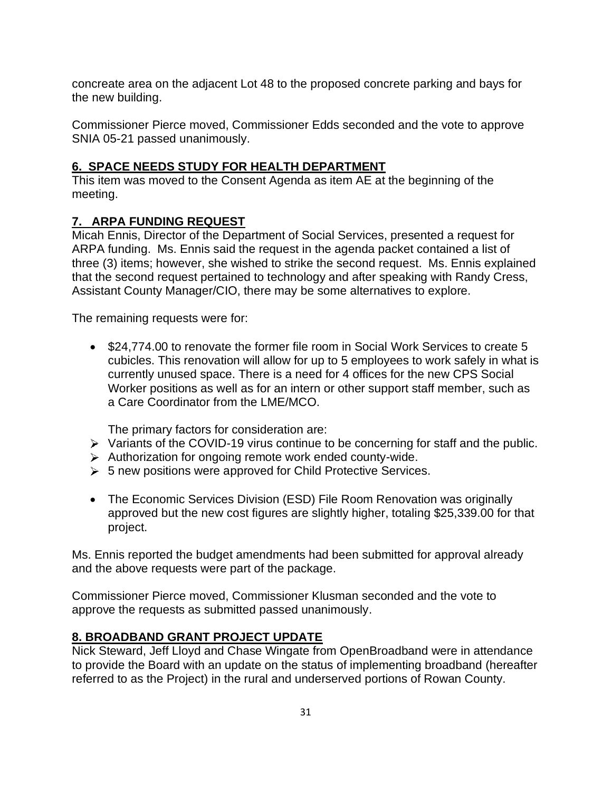concreate area on the adjacent Lot 48 to the proposed concrete parking and bays for the new building.

Commissioner Pierce moved, Commissioner Edds seconded and the vote to approve SNIA 05-21 passed unanimously.

## **6. SPACE NEEDS STUDY FOR HEALTH DEPARTMENT**

This item was moved to the Consent Agenda as item AE at the beginning of the meeting.

## **7. ARPA FUNDING REQUEST**

Micah Ennis, Director of the Department of Social Services, presented a request for ARPA funding. Ms. Ennis said the request in the agenda packet contained a list of three (3) items; however, she wished to strike the second request. Ms. Ennis explained that the second request pertained to technology and after speaking with Randy Cress, Assistant County Manager/CIO, there may be some alternatives to explore.

The remaining requests were for:

• \$24,774.00 to renovate the former file room in Social Work Services to create 5 cubicles. This renovation will allow for up to 5 employees to work safely in what is currently unused space. There is a need for 4 offices for the new CPS Social Worker positions as well as for an intern or other support staff member, such as a Care Coordinator from the LME/MCO.

The primary factors for consideration are:

- $\triangleright$  Variants of the COVID-19 virus continue to be concerning for staff and the public.
- $\triangleright$  Authorization for ongoing remote work ended county-wide.
- $\geq 5$  new positions were approved for Child Protective Services.
- The Economic Services Division (ESD) File Room Renovation was originally approved but the new cost figures are slightly higher, totaling \$25,339.00 for that project.

Ms. Ennis reported the budget amendments had been submitted for approval already and the above requests were part of the package.

Commissioner Pierce moved, Commissioner Klusman seconded and the vote to approve the requests as submitted passed unanimously.

#### **8. BROADBAND GRANT PROJECT UPDATE**

Nick Steward, Jeff Lloyd and Chase Wingate from OpenBroadband were in attendance to provide the Board with an update on the status of implementing broadband (hereafter referred to as the Project) in the rural and underserved portions of Rowan County.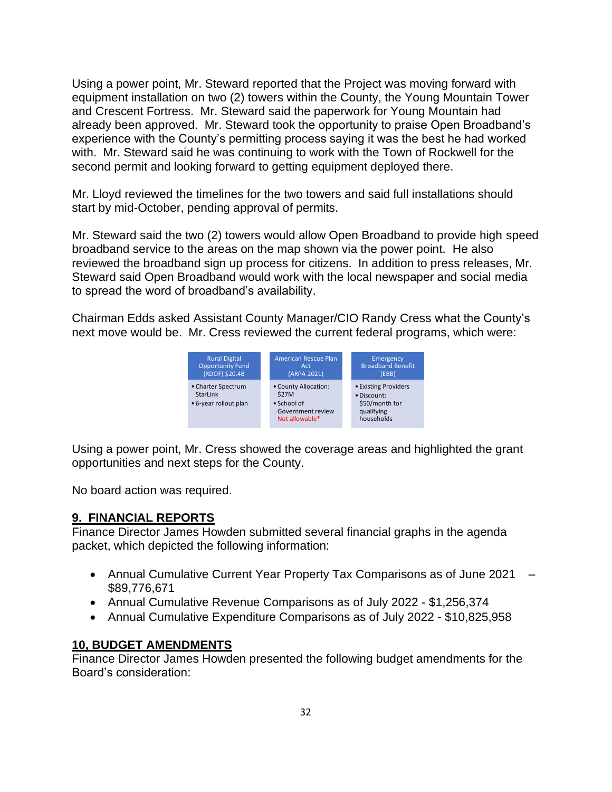Using a power point, Mr. Steward reported that the Project was moving forward with equipment installation on two (2) towers within the County, the Young Mountain Tower and Crescent Fortress. Mr. Steward said the paperwork for Young Mountain had already been approved. Mr. Steward took the opportunity to praise Open Broadband's experience with the County's permitting process saying it was the best he had worked with. Mr. Steward said he was continuing to work with the Town of Rockwell for the second permit and looking forward to getting equipment deployed there.

Mr. Lloyd reviewed the timelines for the two towers and said full installations should start by mid-October, pending approval of permits.

Mr. Steward said the two (2) towers would allow Open Broadband to provide high speed broadband service to the areas on the map shown via the power point. He also reviewed the broadband sign up process for citizens. In addition to press releases, Mr. Steward said Open Broadband would work with the local newspaper and social media to spread the word of broadband's availability.

Chairman Edds asked Assistant County Manager/CIO Randy Cress what the County's next move would be. Mr. Cress reviewed the current federal programs, which were:



Using a power point, Mr. Cress showed the coverage areas and highlighted the grant opportunities and next steps for the County.

No board action was required.

#### **9. FINANCIAL REPORTS**

Finance Director James Howden submitted several financial graphs in the agenda packet, which depicted the following information:

- Annual Cumulative Current Year Property Tax Comparisons as of June 2021 \$89,776,671
- Annual Cumulative Revenue Comparisons as of July 2022 \$1,256,374
- Annual Cumulative Expenditure Comparisons as of July 2022 \$10,825,958

#### **10, BUDGET AMENDMENTS**

Finance Director James Howden presented the following budget amendments for the Board's consideration: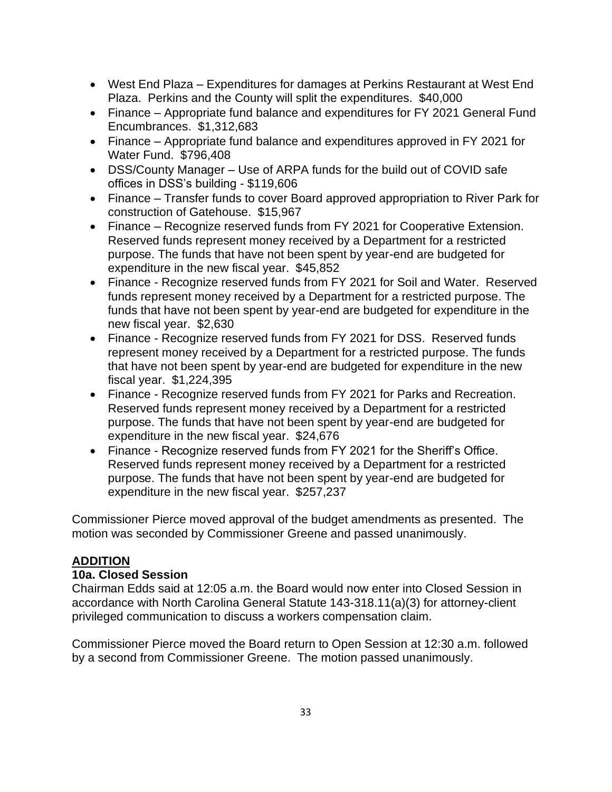- West End Plaza Expenditures for damages at Perkins Restaurant at West End Plaza. Perkins and the County will split the expenditures. \$40,000
- Finance Appropriate fund balance and expenditures for FY 2021 General Fund Encumbrances. \$1,312,683
- Finance Appropriate fund balance and expenditures approved in FY 2021 for Water Fund. \$796,408
- DSS/County Manager Use of ARPA funds for the build out of COVID safe offices in DSS's building - \$119,606
- Finance Transfer funds to cover Board approved appropriation to River Park for construction of Gatehouse. \$15,967
- Finance Recognize reserved funds from FY 2021 for Cooperative Extension. Reserved funds represent money received by a Department for a restricted purpose. The funds that have not been spent by year-end are budgeted for expenditure in the new fiscal year. \$45,852
- Finance Recognize reserved funds from FY 2021 for Soil and Water. Reserved funds represent money received by a Department for a restricted purpose. The funds that have not been spent by year-end are budgeted for expenditure in the new fiscal year. \$2,630
- Finance Recognize reserved funds from FY 2021 for DSS. Reserved funds represent money received by a Department for a restricted purpose. The funds that have not been spent by year-end are budgeted for expenditure in the new fiscal year. \$1,224,395
- Finance Recognize reserved funds from FY 2021 for Parks and Recreation. Reserved funds represent money received by a Department for a restricted purpose. The funds that have not been spent by year-end are budgeted for expenditure in the new fiscal year. \$24,676
- Finance Recognize reserved funds from FY 2021 for the Sheriff's Office. Reserved funds represent money received by a Department for a restricted purpose. The funds that have not been spent by year-end are budgeted for expenditure in the new fiscal year. \$257,237

Commissioner Pierce moved approval of the budget amendments as presented. The motion was seconded by Commissioner Greene and passed unanimously.

# **ADDITION**

#### **10a. Closed Session**

Chairman Edds said at 12:05 a.m. the Board would now enter into Closed Session in accordance with North Carolina General Statute 143-318.11(a)(3) for attorney-client privileged communication to discuss a workers compensation claim.

Commissioner Pierce moved the Board return to Open Session at 12:30 a.m. followed by a second from Commissioner Greene. The motion passed unanimously.